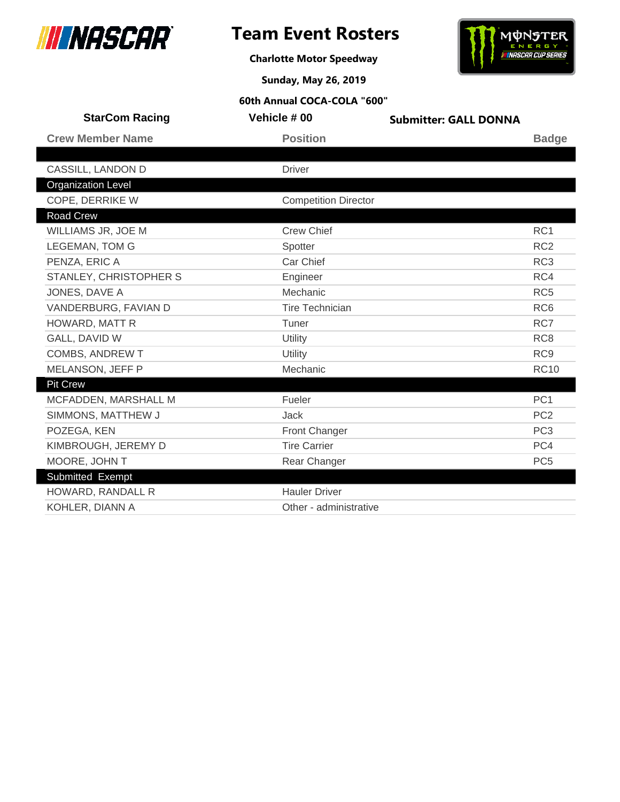



**Charlotte Motor Speedway**

**Sunday, May 26, 2019**

| <b>StarCom Racing</b>     | Vehicle # 00                | <b>Submitter: GALL DONNA</b> |                 |
|---------------------------|-----------------------------|------------------------------|-----------------|
| <b>Crew Member Name</b>   | <b>Position</b>             |                              | <b>Badge</b>    |
|                           |                             |                              |                 |
| CASSILL, LANDON D         | <b>Driver</b>               |                              |                 |
| <b>Organization Level</b> |                             |                              |                 |
| COPE, DERRIKE W           | <b>Competition Director</b> |                              |                 |
| <b>Road Crew</b>          |                             |                              |                 |
| WILLIAMS JR, JOE M        | <b>Crew Chief</b>           |                              | RC1             |
| <b>LEGEMAN, TOM G</b>     | Spotter                     |                              | RC <sub>2</sub> |
| PENZA, ERIC A             | Car Chief                   |                              | RC <sub>3</sub> |
| STANLEY, CHRISTOPHER S    | Engineer                    |                              | RC4             |
| JONES, DAVE A             | Mechanic                    |                              | RC <sub>5</sub> |
| VANDERBURG, FAVIAN D      | Tire Technician             |                              | RC <sub>6</sub> |
| HOWARD, MATT R            | Tuner                       |                              | RC7             |
| <b>GALL, DAVID W</b>      | Utility                     |                              | RC <sub>8</sub> |
| COMBS, ANDREW T           | Utility                     |                              | RC <sub>9</sub> |
| MELANSON, JEFF P          | Mechanic                    |                              | <b>RC10</b>     |
| <b>Pit Crew</b>           |                             |                              |                 |
| MCFADDEN, MARSHALL M      | Fueler                      |                              | PC <sub>1</sub> |
| SIMMONS, MATTHEW J        | <b>Jack</b>                 |                              | PC <sub>2</sub> |
| POZEGA, KEN               | <b>Front Changer</b>        |                              | PC <sub>3</sub> |
| KIMBROUGH, JEREMY D       | <b>Tire Carrier</b>         |                              | PC4             |
| MOORE, JOHN T             | Rear Changer                |                              | PC <sub>5</sub> |
| Submitted Exempt          |                             |                              |                 |
| HOWARD, RANDALL R         | <b>Hauler Driver</b>        |                              |                 |
| KOHLER, DIANN A           | Other - administrative      |                              |                 |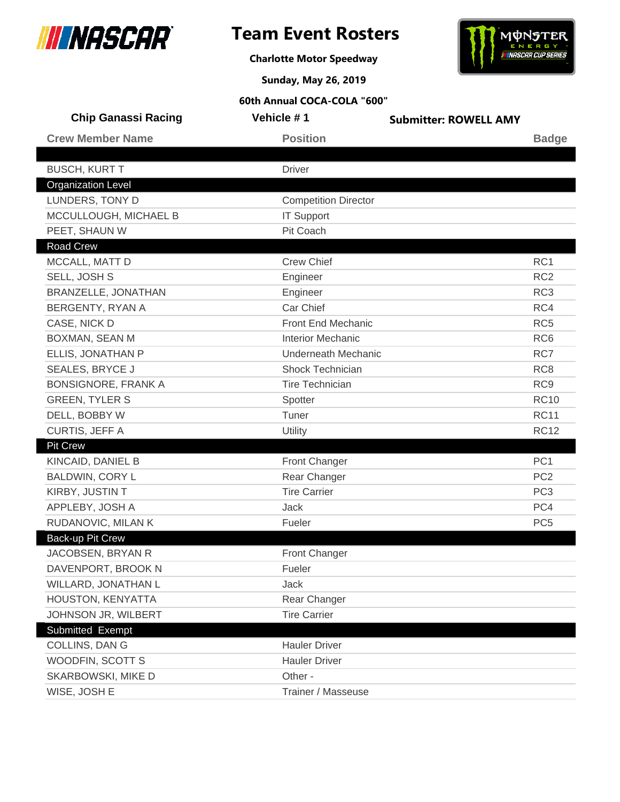



**Charlotte Motor Speedway**

**Sunday, May 26, 2019**

|                  | <b>Chip Ganassi Racing</b> | Vehicle #1                  | <b>Submitter: ROWELL AMY</b> |                 |
|------------------|----------------------------|-----------------------------|------------------------------|-----------------|
|                  | <b>Crew Member Name</b>    | <b>Position</b>             |                              | <b>Badge</b>    |
|                  |                            |                             |                              |                 |
|                  | <b>BUSCH, KURT T</b>       | <b>Driver</b>               |                              |                 |
|                  | <b>Organization Level</b>  |                             |                              |                 |
|                  | LUNDERS, TONY D            | <b>Competition Director</b> |                              |                 |
|                  | MCCULLOUGH, MICHAEL B      | <b>IT Support</b>           |                              |                 |
|                  | PEET, SHAUN W              | Pit Coach                   |                              |                 |
| <b>Road Crew</b> |                            |                             |                              |                 |
|                  | MCCALL, MATT D             | <b>Crew Chief</b>           |                              | RC <sub>1</sub> |
|                  | SELL, JOSH S               | Engineer                    |                              | RC <sub>2</sub> |
|                  | BRANZELLE, JONATHAN        | Engineer                    |                              | RC <sub>3</sub> |
|                  | BERGENTY, RYAN A           | Car Chief                   |                              | RC4             |
|                  | CASE, NICK D               | <b>Front End Mechanic</b>   |                              | RC <sub>5</sub> |
|                  | BOXMAN, SEAN M             | <b>Interior Mechanic</b>    |                              | RC <sub>6</sub> |
|                  | ELLIS, JONATHAN P          | <b>Underneath Mechanic</b>  |                              | RC7             |
|                  | <b>SEALES, BRYCE J</b>     | <b>Shock Technician</b>     |                              | RC <sub>8</sub> |
|                  | <b>BONSIGNORE, FRANK A</b> | <b>Tire Technician</b>      |                              | RC <sub>9</sub> |
|                  | <b>GREEN, TYLER S</b>      | Spotter                     |                              | <b>RC10</b>     |
|                  | DELL, BOBBY W              | Tuner                       |                              | <b>RC11</b>     |
|                  | CURTIS, JEFF A             | Utility                     |                              | <b>RC12</b>     |
| <b>Pit Crew</b>  |                            |                             |                              |                 |
|                  | KINCAID, DANIEL B          | <b>Front Changer</b>        |                              | PC <sub>1</sub> |
|                  | <b>BALDWIN, CORY L</b>     | Rear Changer                |                              | PC <sub>2</sub> |
|                  | KIRBY, JUSTIN T            | <b>Tire Carrier</b>         |                              | PC <sub>3</sub> |
|                  | APPLEBY, JOSH A            | Jack                        |                              | PC4             |
|                  | RUDANOVIC, MILAN K         | Fueler                      |                              | PC <sub>5</sub> |
|                  | Back-up Pit Crew           |                             |                              |                 |
|                  | JACOBSEN, BRYAN R          | <b>Front Changer</b>        |                              |                 |
|                  | DAVENPORT, BROOK N         | Fueler                      |                              |                 |
|                  | WILLARD, JONATHAN L        | Jack                        |                              |                 |
|                  | HOUSTON, KENYATTA          | Rear Changer                |                              |                 |
|                  | JOHNSON JR, WILBERT        | <b>Tire Carrier</b>         |                              |                 |
|                  | Submitted Exempt           |                             |                              |                 |
|                  | COLLINS, DAN G             | <b>Hauler Driver</b>        |                              |                 |
|                  | WOODFIN, SCOTT S           | <b>Hauler Driver</b>        |                              |                 |
|                  | SKARBOWSKI, MIKE D         | Other -                     |                              |                 |
|                  | WISE, JOSH E               | Trainer / Masseuse          |                              |                 |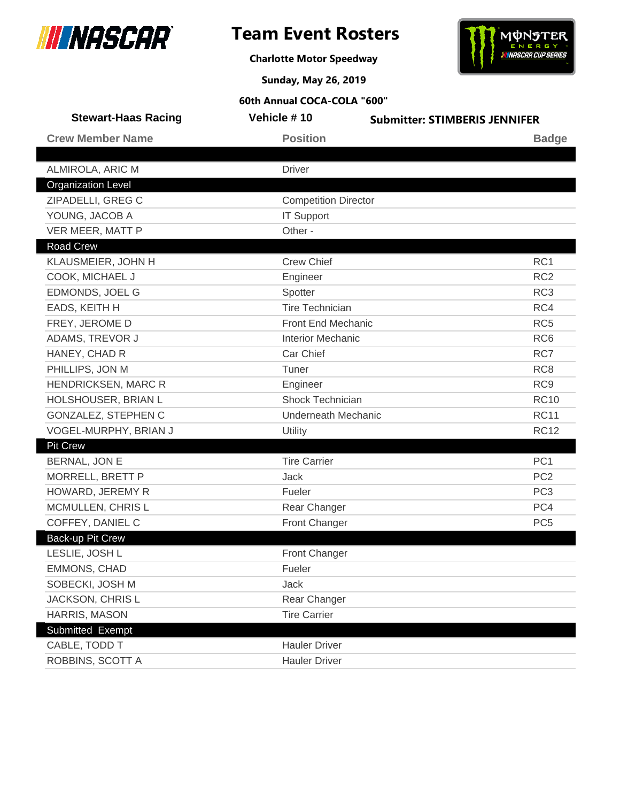

**Charlotte Motor Speedway**



**Sunday, May 26, 2019**

| <b>Stewart-Haas Racing</b> | Vehicle #10                 | <b>Submitter: STIMBERIS JENNIFER</b> |
|----------------------------|-----------------------------|--------------------------------------|
| <b>Crew Member Name</b>    | <b>Position</b>             | <b>Badge</b>                         |
|                            |                             |                                      |
| ALMIROLA, ARIC M           | <b>Driver</b>               |                                      |
| <b>Organization Level</b>  |                             |                                      |
| ZIPADELLI, GREG C          | <b>Competition Director</b> |                                      |
| YOUNG, JACOB A             | <b>IT Support</b>           |                                      |
| VER MEER, MATT P           | Other -                     |                                      |
| Road Crew                  |                             |                                      |
| KLAUSMEIER, JOHN H         | <b>Crew Chief</b>           | RC <sub>1</sub>                      |
| COOK, MICHAEL J            | Engineer                    | RC <sub>2</sub>                      |
| EDMONDS, JOEL G            | Spotter                     | RC <sub>3</sub>                      |
| EADS, KEITH H              | <b>Tire Technician</b>      | RC4                                  |
| FREY, JEROME D             | <b>Front End Mechanic</b>   | RC <sub>5</sub>                      |
| ADAMS, TREVOR J            | <b>Interior Mechanic</b>    | RC <sub>6</sub>                      |
| HANEY, CHAD R              | Car Chief                   | RC7                                  |
| PHILLIPS, JON M            | Tuner                       | RC <sub>8</sub>                      |
| HENDRICKSEN, MARC R        | Engineer                    | RC <sub>9</sub>                      |
| HOLSHOUSER, BRIAN L        | Shock Technician            | <b>RC10</b>                          |
| GONZALEZ, STEPHEN C        | <b>Underneath Mechanic</b>  | <b>RC11</b>                          |
| VOGEL-MURPHY, BRIAN J      | Utility                     | <b>RC12</b>                          |
| <b>Pit Crew</b>            |                             |                                      |
| BERNAL, JON E              | <b>Tire Carrier</b>         | PC <sub>1</sub>                      |
| MORRELL, BRETT P           | Jack                        | PC <sub>2</sub>                      |
| HOWARD, JEREMY R           | Fueler                      | PC <sub>3</sub>                      |
| MCMULLEN, CHRIS L          | Rear Changer                | PC4                                  |
| COFFEY, DANIEL C           | Front Changer               | PC <sub>5</sub>                      |
| Back-up Pit Crew           |                             |                                      |
| LESLIE, JOSH L             | <b>Front Changer</b>        |                                      |
| EMMONS, CHAD               | Fueler                      |                                      |
| SOBECKI, JOSH M            | Jack                        |                                      |
| JACKSON, CHRIS L           | Rear Changer                |                                      |
| HARRIS, MASON              | <b>Tire Carrier</b>         |                                      |
| Submitted Exempt           |                             |                                      |
| CABLE, TODD T              | <b>Hauler Driver</b>        |                                      |
| ROBBINS, SCOTT A           | <b>Hauler Driver</b>        |                                      |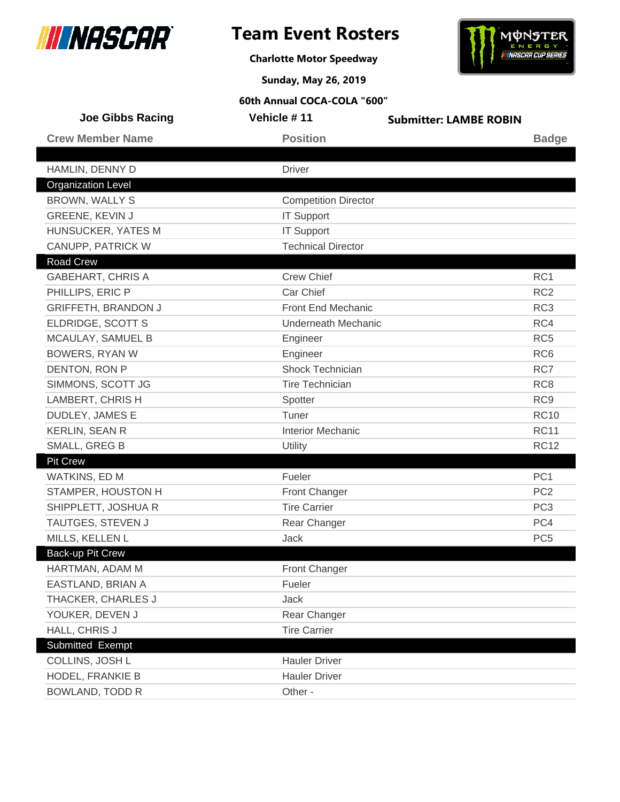



**Charlotte Motor Speedway**

**Sunday, May 26, 2019**

| <b>Joe Gibbs Racing</b>    | Vehicle #11                 | <b>Submitter: LAMBE ROBIN</b> |                 |
|----------------------------|-----------------------------|-------------------------------|-----------------|
| <b>Crew Member Name</b>    | <b>Position</b>             |                               | <b>Badge</b>    |
|                            |                             |                               |                 |
| HAMLIN, DENNY D            | <b>Driver</b>               |                               |                 |
| <b>Organization Level</b>  |                             |                               |                 |
| BROWN, WALLY S             | <b>Competition Director</b> |                               |                 |
| GREENE, KEVIN J            | <b>IT Support</b>           |                               |                 |
| <b>HUNSUCKER, YATES M</b>  | <b>IT Support</b>           |                               |                 |
| CANUPP, PATRICK W          | <b>Technical Director</b>   |                               |                 |
| <b>Road Crew</b>           |                             |                               |                 |
| <b>GABEHART, CHRIS A</b>   | <b>Crew Chief</b>           |                               | RC1             |
| PHILLIPS, ERIC P           | Car Chief                   |                               | RC <sub>2</sub> |
| <b>GRIFFETH, BRANDON J</b> | Front End Mechanic          |                               | RC <sub>3</sub> |
| ELDRIDGE, SCOTT S          | <b>Underneath Mechanic</b>  |                               | RC4             |
| MCAULAY, SAMUEL B          | Engineer                    |                               | RC <sub>5</sub> |
| <b>BOWERS, RYAN W</b>      | Engineer                    |                               | RC <sub>6</sub> |
| DENTON, RON P              | <b>Shock Technician</b>     |                               | RC7             |
| SIMMONS, SCOTT JG          | <b>Tire Technician</b>      |                               | RC <sub>8</sub> |
| LAMBERT, CHRIS H           | Spotter                     |                               | RC <sub>9</sub> |
| DUDLEY, JAMES E            | Tuner                       |                               | <b>RC10</b>     |
| KERLIN, SEAN R             | <b>Interior Mechanic</b>    |                               | <b>RC11</b>     |
| SMALL, GREG B              | Utility                     |                               | <b>RC12</b>     |
| <b>Pit Crew</b>            |                             |                               |                 |
| WATKINS, ED M              | Fueler                      |                               | PC <sub>1</sub> |
| STAMPER, HOUSTON H         | Front Changer               |                               | PC <sub>2</sub> |
| SHIPPLETT, JOSHUA R        | <b>Tire Carrier</b>         |                               | PC <sub>3</sub> |
| TAUTGES, STEVEN J          | Rear Changer                |                               | PC4             |
| MILLS, KELLEN L            | Jack                        |                               | PC <sub>5</sub> |
| Back-up Pit Crew           |                             |                               |                 |
| HARTMAN, ADAM M            | Front Changer               |                               |                 |
| EASTLAND, BRIAN A          | Fueler                      |                               |                 |
| THACKER, CHARLES J         | Jack                        |                               |                 |
| YOUKER, DEVEN J            | Rear Changer                |                               |                 |
| HALL, CHRIS J              | <b>Tire Carrier</b>         |                               |                 |
| Submitted Exempt           |                             |                               |                 |
| COLLINS, JOSH L            | <b>Hauler Driver</b>        |                               |                 |
| HODEL, FRANKIE B           | <b>Hauler Driver</b>        |                               |                 |
| <b>BOWLAND, TODD R</b>     | Other -                     |                               |                 |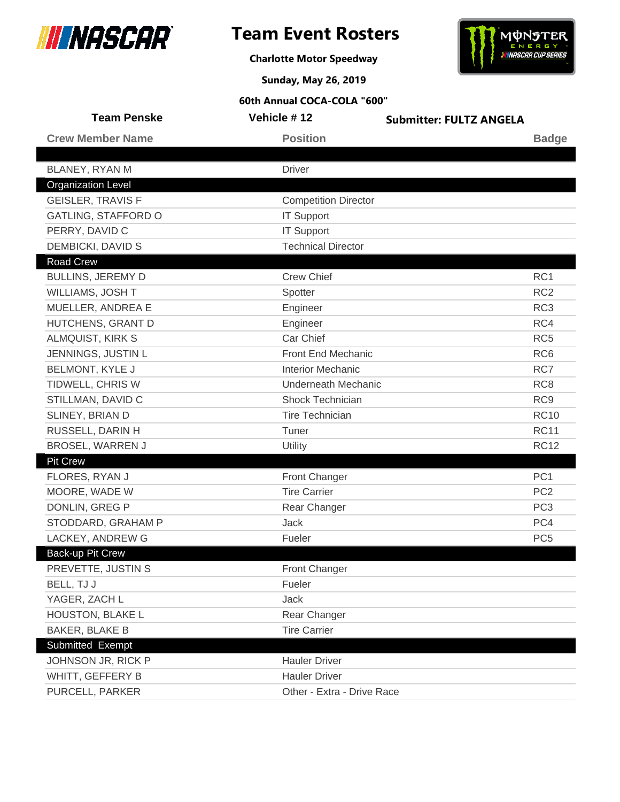



**Charlotte Motor Speedway**

**Sunday, May 26, 2019**

| <b>Team Penske</b>         | Vehicle #12                 | <b>Submitter: FULTZ ANGELA</b> |
|----------------------------|-----------------------------|--------------------------------|
| <b>Crew Member Name</b>    | <b>Position</b>             | <b>Badge</b>                   |
|                            |                             |                                |
| BLANEY, RYAN M             | <b>Driver</b>               |                                |
| <b>Organization Level</b>  |                             |                                |
| <b>GEISLER, TRAVIS F</b>   | <b>Competition Director</b> |                                |
| <b>GATLING, STAFFORD O</b> | <b>IT Support</b>           |                                |
| PERRY, DAVID C             | <b>IT Support</b>           |                                |
| DEMBICKI, DAVID S          | <b>Technical Director</b>   |                                |
| <b>Road Crew</b>           |                             |                                |
| <b>BULLINS, JEREMY D</b>   | <b>Crew Chief</b>           | RC <sub>1</sub>                |
| WILLIAMS, JOSH T           | Spotter                     | RC <sub>2</sub>                |
| MUELLER, ANDREA E          | Engineer                    | RC <sub>3</sub>                |
| HUTCHENS, GRANT D          | Engineer                    | RC4                            |
| <b>ALMQUIST, KIRK S</b>    | Car Chief                   | RC <sub>5</sub>                |
| JENNINGS, JUSTIN L         | Front End Mechanic          | RC <sub>6</sub>                |
| <b>BELMONT, KYLE J</b>     | <b>Interior Mechanic</b>    | RC7                            |
| TIDWELL, CHRIS W           | <b>Underneath Mechanic</b>  | RC <sub>8</sub>                |
| STILLMAN, DAVID C          | <b>Shock Technician</b>     | RC <sub>9</sub>                |
| SLINEY, BRIAN D            | <b>Tire Technician</b>      | <b>RC10</b>                    |
| RUSSELL, DARIN H           | Tuner                       | <b>RC11</b>                    |
| <b>BROSEL, WARREN J</b>    | Utility                     | <b>RC12</b>                    |
| <b>Pit Crew</b>            |                             |                                |
| FLORES, RYAN J             | Front Changer               | PC <sub>1</sub>                |
| MOORE, WADE W              | <b>Tire Carrier</b>         | PC <sub>2</sub>                |
| DONLIN, GREG P             | Rear Changer                | PC <sub>3</sub>                |
| STODDARD, GRAHAM P         | <b>Jack</b>                 | PC4                            |
| LACKEY, ANDREW G           | Fueler                      | PC <sub>5</sub>                |
| Back-up Pit Crew           |                             |                                |
| PREVETTE, JUSTIN S         | Front Changer               |                                |
| BELL, TJ J                 | Fueler                      |                                |
| YAGER, ZACH L              | Jack                        |                                |
| HOUSTON, BLAKE L           | Rear Changer                |                                |
| <b>BAKER, BLAKE B</b>      | <b>Tire Carrier</b>         |                                |
| Submitted Exempt           |                             |                                |
| JOHNSON JR, RICK P         | <b>Hauler Driver</b>        |                                |
| WHITT, GEFFERY B           | <b>Hauler Driver</b>        |                                |
| PURCELL, PARKER            | Other - Extra - Drive Race  |                                |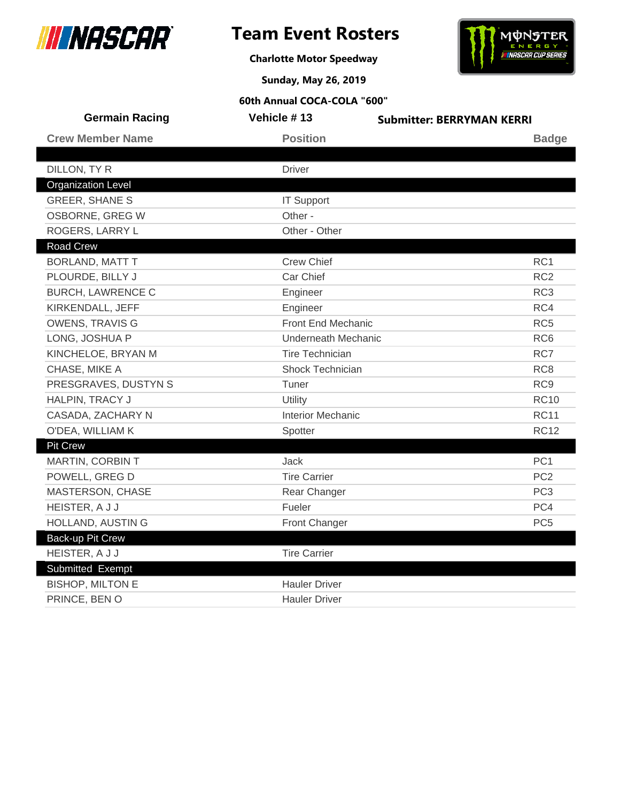

**Charlotte Motor Speedway**



**Sunday, May 26, 2019**

| <b>Germain Racing</b>     | Vehicle #13                | <b>Submitter: BERRYMAN KERRI</b> |
|---------------------------|----------------------------|----------------------------------|
| <b>Crew Member Name</b>   | <b>Position</b>            | <b>Badge</b>                     |
|                           |                            |                                  |
| DILLON, TY R              | <b>Driver</b>              |                                  |
| <b>Organization Level</b> |                            |                                  |
| <b>GREER, SHANE S</b>     | <b>IT Support</b>          |                                  |
| OSBORNE, GREG W           | Other -                    |                                  |
| ROGERS, LARRY L           | Other - Other              |                                  |
| <b>Road Crew</b>          |                            |                                  |
| <b>BORLAND, MATT T</b>    | <b>Crew Chief</b>          | RC1                              |
| PLOURDE, BILLY J          | Car Chief                  | RC <sub>2</sub>                  |
| <b>BURCH, LAWRENCE C</b>  | Engineer                   | RC <sub>3</sub>                  |
| KIRKENDALL, JEFF          | Engineer                   | RC4                              |
| <b>OWENS, TRAVIS G</b>    | <b>Front End Mechanic</b>  | RC <sub>5</sub>                  |
| LONG, JOSHUA P            | <b>Underneath Mechanic</b> | RC <sub>6</sub>                  |
| KINCHELOE, BRYAN M        | <b>Tire Technician</b>     | RC7                              |
| CHASE, MIKE A             | Shock Technician           | RC <sub>8</sub>                  |
| PRESGRAVES, DUSTYN S      | Tuner                      | RC <sub>9</sub>                  |
| HALPIN, TRACY J           | Utility                    | <b>RC10</b>                      |
| CASADA, ZACHARY N         | <b>Interior Mechanic</b>   | <b>RC11</b>                      |
| O'DEA, WILLIAM K          | Spotter                    | <b>RC12</b>                      |
| <b>Pit Crew</b>           |                            |                                  |
| <b>MARTIN, CORBIN T</b>   | Jack                       | PC <sub>1</sub>                  |
| POWELL, GREG D            | <b>Tire Carrier</b>        | PC <sub>2</sub>                  |
| MASTERSON, CHASE          | Rear Changer               | PC <sub>3</sub>                  |
| HEISTER, A J J            | Fueler                     | PC4                              |
| HOLLAND, AUSTIN G         | Front Changer              | PC <sub>5</sub>                  |
| Back-up Pit Crew          |                            |                                  |
| HEISTER, A J J            | <b>Tire Carrier</b>        |                                  |
| <b>Submitted Exempt</b>   |                            |                                  |
| <b>BISHOP, MILTON E</b>   | <b>Hauler Driver</b>       |                                  |
| PRINCE, BEN O             | <b>Hauler Driver</b>       |                                  |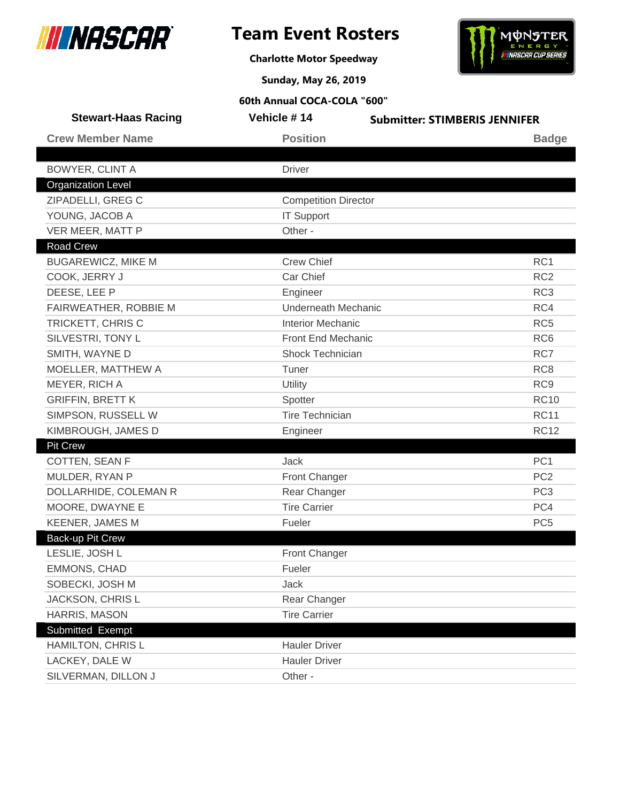

**Charlotte Motor Speedway**



**Sunday, May 26, 2019**

| <b>Stewart-Haas Racing</b> | Vehicle #14                 | <b>Submitter: STIMBERIS JENNIFER</b> |
|----------------------------|-----------------------------|--------------------------------------|
| <b>Crew Member Name</b>    | <b>Position</b>             | <b>Badge</b>                         |
|                            |                             |                                      |
| <b>BOWYER, CLINT A</b>     | <b>Driver</b>               |                                      |
| <b>Organization Level</b>  |                             |                                      |
| ZIPADELLI, GREG C          | <b>Competition Director</b> |                                      |
| YOUNG, JACOB A             | <b>IT Support</b>           |                                      |
| VER MEER, MATT P           | Other -                     |                                      |
| <b>Road Crew</b>           |                             |                                      |
| <b>BUGAREWICZ, MIKE M</b>  | <b>Crew Chief</b>           | RC <sub>1</sub>                      |
| COOK, JERRY J              | Car Chief                   | RC <sub>2</sub>                      |
| DEESE, LEE P               | Engineer                    | RC <sub>3</sub>                      |
| FAIRWEATHER, ROBBIE M      | <b>Underneath Mechanic</b>  | RC4                                  |
| TRICKETT, CHRIS C          | <b>Interior Mechanic</b>    | RC <sub>5</sub>                      |
| SILVESTRI, TONY L          | Front End Mechanic          | RC <sub>6</sub>                      |
| SMITH, WAYNE D             | Shock Technician            | RC7                                  |
| MOELLER, MATTHEW A         | Tuner                       | RC <sub>8</sub>                      |
| MEYER, RICH A              | Utility                     | RC <sub>9</sub>                      |
| <b>GRIFFIN, BRETT K</b>    | Spotter                     | <b>RC10</b>                          |
| SIMPSON, RUSSELL W         | <b>Tire Technician</b>      | <b>RC11</b>                          |
| KIMBROUGH, JAMES D         | Engineer                    | <b>RC12</b>                          |
| <b>Pit Crew</b>            |                             |                                      |
| COTTEN, SEAN F             | Jack                        | PC <sub>1</sub>                      |
| MULDER, RYAN P             | Front Changer               | PC <sub>2</sub>                      |
| DOLLARHIDE, COLEMAN R      | Rear Changer                | PC <sub>3</sub>                      |
| MOORE, DWAYNE E            | <b>Tire Carrier</b>         | PC4                                  |
| <b>KEENER, JAMES M</b>     | Fueler                      | PC <sub>5</sub>                      |
| <b>Back-up Pit Crew</b>    |                             |                                      |
| LESLIE, JOSH L             | <b>Front Changer</b>        |                                      |
| <b>EMMONS, CHAD</b>        | Fueler                      |                                      |
| SOBECKI, JOSH M            | Jack                        |                                      |
| JACKSON, CHRIS L           | Rear Changer                |                                      |
| HARRIS, MASON              | <b>Tire Carrier</b>         |                                      |
| Submitted Exempt           |                             |                                      |
| HAMILTON, CHRIS L          | <b>Hauler Driver</b>        |                                      |
| LACKEY, DALE W             | <b>Hauler Driver</b>        |                                      |
| SILVERMAN, DILLON J        | Other -                     |                                      |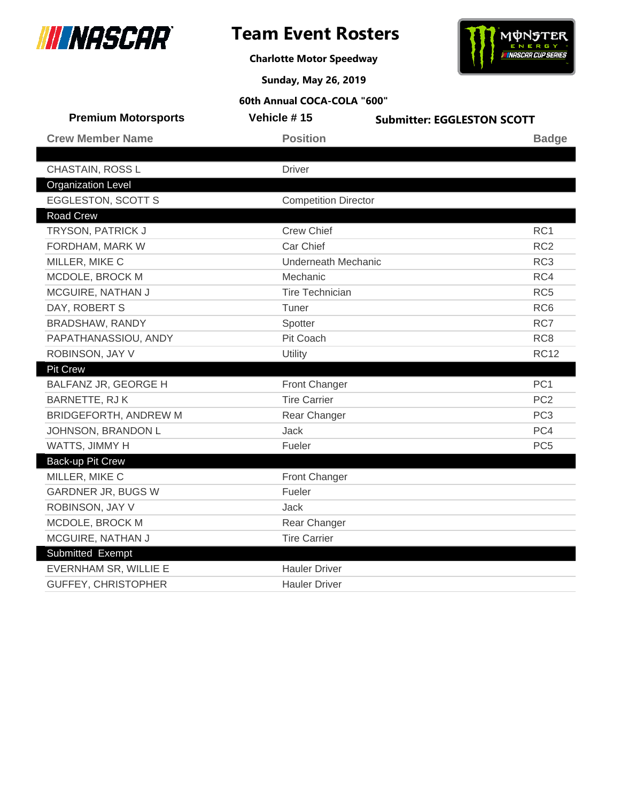



**Charlotte Motor Speedway**

**Sunday, May 26, 2019**

| <b>Premium Motorsports</b> | Vehicle #15                 | <b>Submitter: EGGLESTON SCOTT</b> |
|----------------------------|-----------------------------|-----------------------------------|
| <b>Crew Member Name</b>    | <b>Position</b>             | <b>Badge</b>                      |
|                            |                             |                                   |
| CHASTAIN, ROSS L           | <b>Driver</b>               |                                   |
| <b>Organization Level</b>  |                             |                                   |
| <b>EGGLESTON, SCOTT S</b>  | <b>Competition Director</b> |                                   |
| Road Crew                  |                             |                                   |
| TRYSON, PATRICK J          | <b>Crew Chief</b>           | RC <sub>1</sub>                   |
| FORDHAM, MARK W            | Car Chief                   | RC <sub>2</sub>                   |
| MILLER, MIKE C             | <b>Underneath Mechanic</b>  | RC <sub>3</sub>                   |
| MCDOLE, BROCK M            | Mechanic                    | RC4                               |
| MCGUIRE, NATHAN J          | <b>Tire Technician</b>      | RC <sub>5</sub>                   |
| DAY, ROBERT S              | Tuner                       | RC <sub>6</sub>                   |
| BRADSHAW, RANDY            | Spotter                     | RC7                               |
| PAPATHANASSIOU, ANDY       | Pit Coach                   | RC <sub>8</sub>                   |
| ROBINSON, JAY V            | Utility                     | <b>RC12</b>                       |
| <b>Pit Crew</b>            |                             |                                   |
| BALFANZ JR, GEORGE H       | Front Changer               | PC <sub>1</sub>                   |
| BARNETTE, RJ K             | <b>Tire Carrier</b>         | PC <sub>2</sub>                   |
| BRIDGEFORTH, ANDREW M      | Rear Changer                | PC <sub>3</sub>                   |
| JOHNSON, BRANDON L         | Jack                        | PC4                               |
| WATTS, JIMMY H             | Fueler                      | PC <sub>5</sub>                   |
| <b>Back-up Pit Crew</b>    |                             |                                   |
| MILLER, MIKE C             | <b>Front Changer</b>        |                                   |
| <b>GARDNER JR, BUGS W</b>  | Fueler                      |                                   |
| ROBINSON, JAY V            | Jack                        |                                   |
| MCDOLE, BROCK M            | Rear Changer                |                                   |
| MCGUIRE, NATHAN J          | <b>Tire Carrier</b>         |                                   |
| Submitted Exempt           |                             |                                   |
| EVERNHAM SR, WILLIE E      | <b>Hauler Driver</b>        |                                   |
| <b>GUFFEY, CHRISTOPHER</b> | <b>Hauler Driver</b>        |                                   |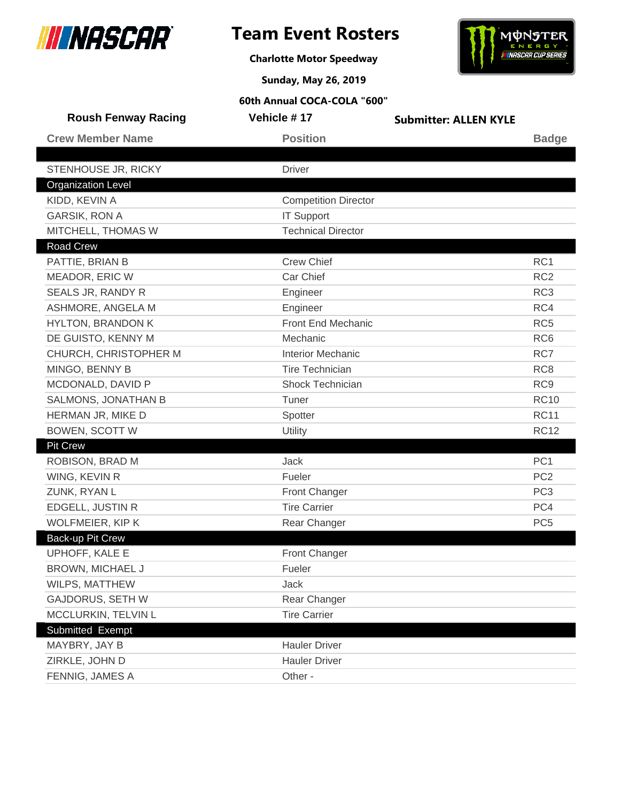





**Sunday, May 26, 2019**

| <b>Roush Fenway Racing</b> | Vehicle #17                 | <b>Submitter: ALLEN KYLE</b> |                 |
|----------------------------|-----------------------------|------------------------------|-----------------|
| <b>Crew Member Name</b>    | <b>Position</b>             |                              | <b>Badge</b>    |
|                            |                             |                              |                 |
| STENHOUSE JR, RICKY        | <b>Driver</b>               |                              |                 |
| <b>Organization Level</b>  |                             |                              |                 |
| KIDD, KEVIN A              | <b>Competition Director</b> |                              |                 |
| <b>GARSIK, RON A</b>       | <b>IT Support</b>           |                              |                 |
| MITCHELL, THOMAS W         | <b>Technical Director</b>   |                              |                 |
| Road Crew                  |                             |                              |                 |
| PATTIE, BRIAN B            | <b>Crew Chief</b>           |                              | RC <sub>1</sub> |
| MEADOR, ERIC W             | Car Chief                   |                              | RC <sub>2</sub> |
| SEALS JR, RANDY R          | Engineer                    |                              | RC <sub>3</sub> |
| ASHMORE, ANGELA M          | Engineer                    |                              | RC4             |
| <b>HYLTON, BRANDON K</b>   | Front End Mechanic          |                              | RC <sub>5</sub> |
| DE GUISTO, KENNY M         | Mechanic                    |                              | RC <sub>6</sub> |
| CHURCH, CHRISTOPHER M      | <b>Interior Mechanic</b>    |                              | RC7             |
| MINGO, BENNY B             | <b>Tire Technician</b>      |                              | RC <sub>8</sub> |
| MCDONALD, DAVID P          | Shock Technician            |                              | RC <sub>9</sub> |
| <b>SALMONS, JONATHAN B</b> | Tuner                       |                              | <b>RC10</b>     |
| HERMAN JR, MIKE D          | Spotter                     |                              | <b>RC11</b>     |
| <b>BOWEN, SCOTT W</b>      | Utility                     |                              | <b>RC12</b>     |
| <b>Pit Crew</b>            |                             |                              |                 |
| ROBISON, BRAD M            | <b>Jack</b>                 |                              | PC <sub>1</sub> |
| WING, KEVIN R              | Fueler                      |                              | PC <sub>2</sub> |
| ZUNK, RYAN L               | <b>Front Changer</b>        |                              | PC <sub>3</sub> |
| EDGELL, JUSTIN R           | <b>Tire Carrier</b>         |                              | PC4             |
| WOLFMEIER, KIP K           | Rear Changer                |                              | PC <sub>5</sub> |
| Back-up Pit Crew           |                             |                              |                 |
| UPHOFF, KALE E             | Front Changer               |                              |                 |
| BROWN, MICHAEL J           | Fueler                      |                              |                 |
| WILPS, MATTHEW             | Jack                        |                              |                 |
| <b>GAJDORUS, SETH W</b>    | Rear Changer                |                              |                 |
| MCCLURKIN, TELVIN L        | <b>Tire Carrier</b>         |                              |                 |
| Submitted Exempt           |                             |                              |                 |
| MAYBRY, JAY B              | <b>Hauler Driver</b>        |                              |                 |
| ZIRKLE, JOHN D             | <b>Hauler Driver</b>        |                              |                 |
| FENNIG, JAMES A            | Other -                     |                              |                 |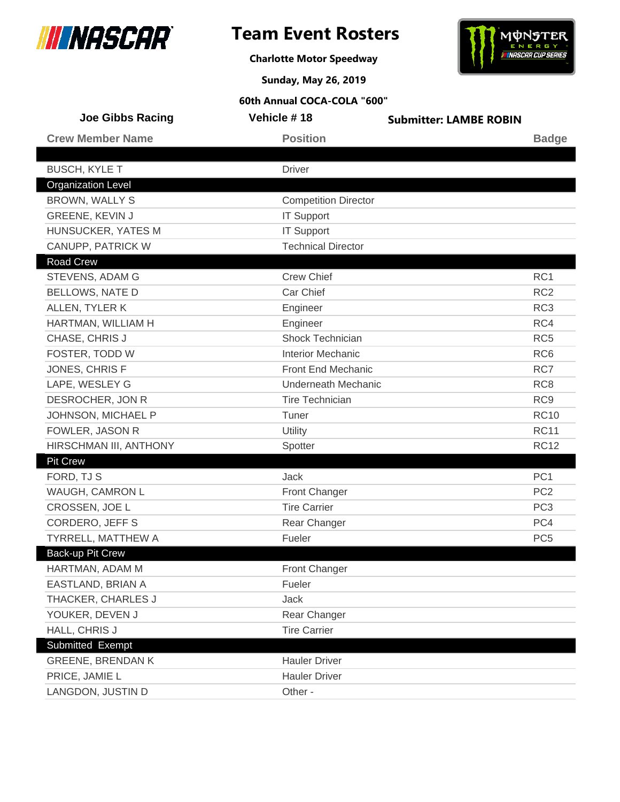



**Charlotte Motor Speedway**

**Sunday, May 26, 2019**

| <b>Joe Gibbs Racing</b>   | Vehicle #18                 | <b>Submitter: LAMBE ROBIN</b> |                 |
|---------------------------|-----------------------------|-------------------------------|-----------------|
| <b>Crew Member Name</b>   | <b>Position</b>             |                               | <b>Badge</b>    |
|                           |                             |                               |                 |
| <b>BUSCH, KYLE T</b>      | <b>Driver</b>               |                               |                 |
| <b>Organization Level</b> |                             |                               |                 |
| <b>BROWN, WALLY S</b>     | <b>Competition Director</b> |                               |                 |
| <b>GREENE, KEVIN J</b>    | <b>IT Support</b>           |                               |                 |
| HUNSUCKER, YATES M        | <b>IT Support</b>           |                               |                 |
| CANUPP, PATRICK W         | <b>Technical Director</b>   |                               |                 |
| <b>Road Crew</b>          |                             |                               |                 |
| STEVENS, ADAM G           | <b>Crew Chief</b>           |                               | RC <sub>1</sub> |
| <b>BELLOWS, NATE D</b>    | Car Chief                   |                               | RC <sub>2</sub> |
| ALLEN, TYLER K            | Engineer                    |                               | RC <sub>3</sub> |
| HARTMAN, WILLIAM H        | Engineer                    |                               | RC4             |
| CHASE, CHRIS J            | <b>Shock Technician</b>     |                               | RC <sub>5</sub> |
| FOSTER, TODD W            | <b>Interior Mechanic</b>    |                               | RC <sub>6</sub> |
| JONES, CHRIS F            | Front End Mechanic          |                               | RC7             |
| LAPE, WESLEY G            | <b>Underneath Mechanic</b>  |                               | RC <sub>8</sub> |
| DESROCHER, JON R          | <b>Tire Technician</b>      |                               | RC <sub>9</sub> |
| JOHNSON, MICHAEL P        | Tuner                       |                               | <b>RC10</b>     |
| FOWLER, JASON R           | Utility                     |                               | <b>RC11</b>     |
| HIRSCHMAN III, ANTHONY    | Spotter                     |                               | <b>RC12</b>     |
| <b>Pit Crew</b>           |                             |                               |                 |
| FORD, TJ S                | <b>Jack</b>                 |                               | PC <sub>1</sub> |
| WAUGH, CAMRON L           | Front Changer               |                               | PC <sub>2</sub> |
| CROSSEN, JOE L            | <b>Tire Carrier</b>         |                               | PC <sub>3</sub> |
| <b>CORDERO, JEFF S</b>    | Rear Changer                |                               | PC4             |
| TYRRELL, MATTHEW A        | Fueler                      |                               | PC <sub>5</sub> |
| Back-up Pit Crew          |                             |                               |                 |
| HARTMAN, ADAM M           | Front Changer               |                               |                 |
| EASTLAND, BRIAN A         | Fueler                      |                               |                 |
| THACKER, CHARLES J        | Jack                        |                               |                 |
| YOUKER, DEVEN J           | Rear Changer                |                               |                 |
| HALL, CHRIS J             | <b>Tire Carrier</b>         |                               |                 |
| Submitted Exempt          |                             |                               |                 |
| <b>GREENE, BRENDAN K</b>  | <b>Hauler Driver</b>        |                               |                 |
| PRICE, JAMIE L            | <b>Hauler Driver</b>        |                               |                 |
| LANGDON, JUSTIN D         | Other -                     |                               |                 |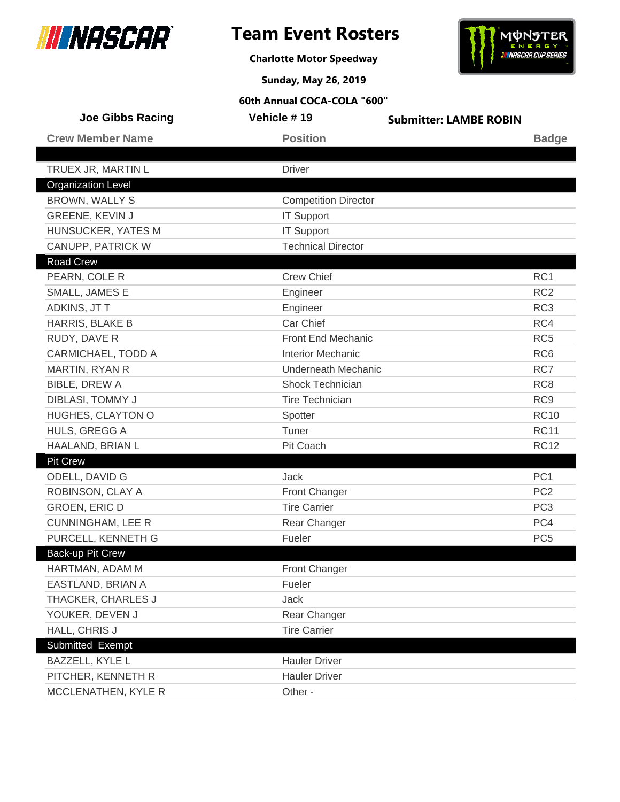



**Charlotte Motor Speedway**

**Sunday, May 26, 2019**

| <b>Joe Gibbs Racing</b>   | Vehicle #19                 | <b>Submitter: LAMBE ROBIN</b> |                 |
|---------------------------|-----------------------------|-------------------------------|-----------------|
| <b>Crew Member Name</b>   | <b>Position</b>             |                               | <b>Badge</b>    |
|                           |                             |                               |                 |
| TRUEX JR, MARTIN L        | <b>Driver</b>               |                               |                 |
| <b>Organization Level</b> |                             |                               |                 |
| BROWN, WALLY S            | <b>Competition Director</b> |                               |                 |
| <b>GREENE, KEVIN J</b>    | <b>IT Support</b>           |                               |                 |
| HUNSUCKER, YATES M        | <b>IT Support</b>           |                               |                 |
| CANUPP, PATRICK W         | <b>Technical Director</b>   |                               |                 |
| Road Crew                 |                             |                               |                 |
| PEARN, COLE R             | <b>Crew Chief</b>           |                               | RC1             |
| SMALL, JAMES E            | Engineer                    |                               | RC <sub>2</sub> |
| ADKINS, JT T              | Engineer                    |                               | RC <sub>3</sub> |
| HARRIS, BLAKE B           | Car Chief                   |                               | RC4             |
| RUDY, DAVE R              | Front End Mechanic          |                               | RC <sub>5</sub> |
| CARMICHAEL, TODD A        | <b>Interior Mechanic</b>    |                               | RC <sub>6</sub> |
| MARTIN, RYAN R            | Underneath Mechanic         |                               | RC7             |
| <b>BIBLE, DREW A</b>      | Shock Technician            |                               | RC <sub>8</sub> |
| DIBLASI, TOMMY J          | <b>Tire Technician</b>      |                               | RC <sub>9</sub> |
| HUGHES, CLAYTON O         | Spotter                     |                               | <b>RC10</b>     |
| HULS, GREGG A             | Tuner                       |                               | <b>RC11</b>     |
| HAALAND, BRIAN L          | Pit Coach                   |                               | <b>RC12</b>     |
| Pit Crew                  |                             |                               |                 |
| ODELL, DAVID G            | <b>Jack</b>                 |                               | PC <sub>1</sub> |
| ROBINSON, CLAY A          | Front Changer               |                               | PC <sub>2</sub> |
| <b>GROEN, ERIC D</b>      | <b>Tire Carrier</b>         |                               | PC <sub>3</sub> |
| <b>CUNNINGHAM, LEE R</b>  | Rear Changer                |                               | PC4             |
| PURCELL, KENNETH G        | Fueler                      |                               | PC <sub>5</sub> |
| Back-up Pit Crew          |                             |                               |                 |
| HARTMAN, ADAM M           | Front Changer               |                               |                 |
| EASTLAND, BRIAN A         | Fueler                      |                               |                 |
| THACKER, CHARLES J        | Jack                        |                               |                 |
| YOUKER, DEVEN J           | Rear Changer                |                               |                 |
| HALL, CHRIS J             | <b>Tire Carrier</b>         |                               |                 |
| Submitted Exempt          |                             |                               |                 |
| BAZZELL, KYLE L           | <b>Hauler Driver</b>        |                               |                 |
| PITCHER, KENNETH R        | <b>Hauler Driver</b>        |                               |                 |
| MCCLENATHEN, KYLE R       | Other -                     |                               |                 |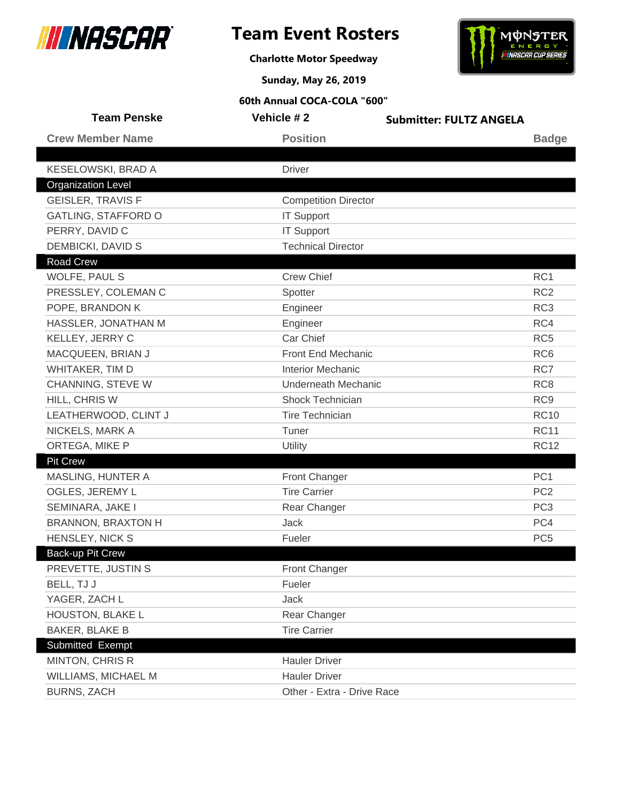



**Charlotte Motor Speedway**

**Sunday, May 26, 2019**

| <b>Team Penske</b>        | Vehicle #2                  | <b>Submitter: FULTZ ANGELA</b> |                 |
|---------------------------|-----------------------------|--------------------------------|-----------------|
| <b>Crew Member Name</b>   | <b>Position</b>             |                                | <b>Badge</b>    |
|                           |                             |                                |                 |
| KESELOWSKI, BRAD A        | <b>Driver</b>               |                                |                 |
| <b>Organization Level</b> |                             |                                |                 |
| <b>GEISLER, TRAVIS F</b>  | <b>Competition Director</b> |                                |                 |
| GATLING, STAFFORD O       | <b>IT Support</b>           |                                |                 |
| PERRY, DAVID C            | <b>IT Support</b>           |                                |                 |
| <b>DEMBICKI, DAVID S</b>  | <b>Technical Director</b>   |                                |                 |
| <b>Road Crew</b>          |                             |                                |                 |
| WOLFE, PAUL S             | <b>Crew Chief</b>           |                                | RC1             |
| PRESSLEY, COLEMAN C       | Spotter                     |                                | RC <sub>2</sub> |
| POPE, BRANDON K           | Engineer                    |                                | RC <sub>3</sub> |
| HASSLER, JONATHAN M       | Engineer                    |                                | RC4             |
| KELLEY, JERRY C           | Car Chief                   |                                | RC <sub>5</sub> |
| MACQUEEN, BRIAN J         | Front End Mechanic          |                                | RC <sub>6</sub> |
| WHITAKER, TIM D           | <b>Interior Mechanic</b>    |                                | RC7             |
| CHANNING, STEVE W         | <b>Underneath Mechanic</b>  |                                | RC <sub>8</sub> |
| HILL, CHRIS W             | <b>Shock Technician</b>     |                                | RC <sub>9</sub> |
| LEATHERWOOD, CLINT J      | <b>Tire Technician</b>      |                                | <b>RC10</b>     |
| NICKELS, MARK A           | Tuner                       |                                | <b>RC11</b>     |
| ORTEGA, MIKE P            | Utility                     |                                | <b>RC12</b>     |
| Pit Crew                  |                             |                                |                 |
| MASLING, HUNTER A         | Front Changer               |                                | PC <sub>1</sub> |
| OGLES, JEREMY L           | <b>Tire Carrier</b>         |                                | PC <sub>2</sub> |
| SEMINARA, JAKE I          | Rear Changer                |                                | PC <sub>3</sub> |
| <b>BRANNON, BRAXTON H</b> | <b>Jack</b>                 |                                | PC4             |
| HENSLEY, NICK S           | Fueler                      |                                | PC <sub>5</sub> |
| Back-up Pit Crew          |                             |                                |                 |
| PREVETTE, JUSTIN S        | Front Changer               |                                |                 |
| BELL, TJ J                | Fueler                      |                                |                 |
| YAGER, ZACH L             | Jack                        |                                |                 |
| HOUSTON, BLAKE L          | Rear Changer                |                                |                 |
| <b>BAKER, BLAKE B</b>     | <b>Tire Carrier</b>         |                                |                 |
| Submitted Exempt          |                             |                                |                 |
| MINTON, CHRIS R           | <b>Hauler Driver</b>        |                                |                 |
| WILLIAMS, MICHAEL M       | <b>Hauler Driver</b>        |                                |                 |
| <b>BURNS, ZACH</b>        | Other - Extra - Drive Race  |                                |                 |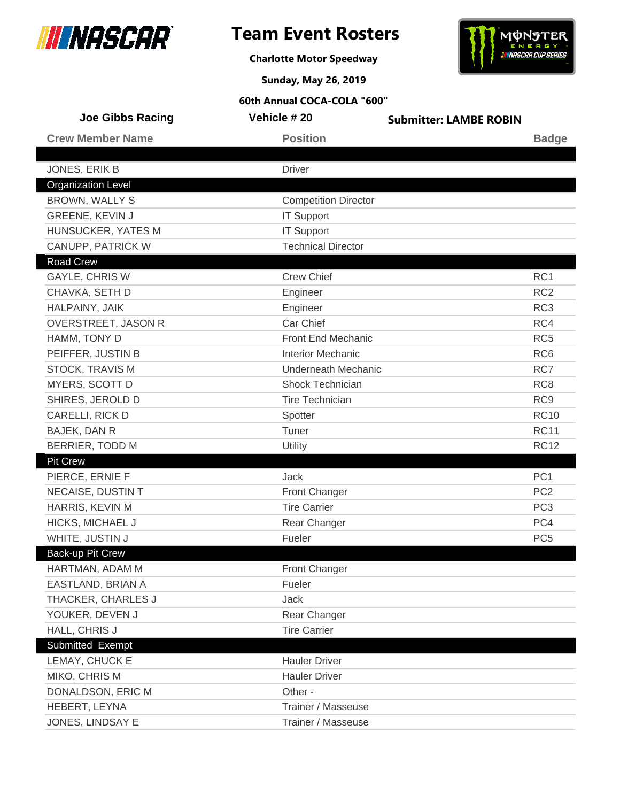



**Charlotte Motor Speedway**

**Sunday, May 26, 2019**

| <b>Joe Gibbs Racing</b>   | Vehicle # 20                | <b>Submitter: LAMBE ROBIN</b> |                 |
|---------------------------|-----------------------------|-------------------------------|-----------------|
| <b>Crew Member Name</b>   | <b>Position</b>             |                               | <b>Badge</b>    |
|                           |                             |                               |                 |
| JONES, ERIK B             | <b>Driver</b>               |                               |                 |
| <b>Organization Level</b> |                             |                               |                 |
| <b>BROWN, WALLY S</b>     | <b>Competition Director</b> |                               |                 |
| GREENE, KEVIN J           | <b>IT Support</b>           |                               |                 |
| HUNSUCKER, YATES M        | <b>IT Support</b>           |                               |                 |
| CANUPP, PATRICK W         | <b>Technical Director</b>   |                               |                 |
| <b>Road Crew</b>          |                             |                               |                 |
| <b>GAYLE, CHRIS W</b>     | <b>Crew Chief</b>           |                               | RC <sub>1</sub> |
| CHAVKA, SETH D            | Engineer                    |                               | RC <sub>2</sub> |
| HALPAINY, JAIK            | Engineer                    |                               | RC <sub>3</sub> |
| OVERSTREET, JASON R       | Car Chief                   |                               | RC4             |
| HAMM, TONY D              | Front End Mechanic          |                               | RC <sub>5</sub> |
| PEIFFER, JUSTIN B         | <b>Interior Mechanic</b>    |                               | RC <sub>6</sub> |
| <b>STOCK, TRAVIS M</b>    | Underneath Mechanic         |                               | RC7             |
| MYERS, SCOTT D            | Shock Technician            |                               | RC <sub>8</sub> |
| SHIRES, JEROLD D          | <b>Tire Technician</b>      |                               | RC <sub>9</sub> |
| CARELLI, RICK D           | Spotter                     |                               | <b>RC10</b>     |
| BAJEK, DAN R              | Tuner                       |                               | <b>RC11</b>     |
| BERRIER, TODD M           | Utility                     |                               | <b>RC12</b>     |
| <b>Pit Crew</b>           |                             |                               |                 |
| PIERCE, ERNIE F           | Jack                        |                               | PC <sub>1</sub> |
| NECAISE, DUSTIN T         | Front Changer               |                               | PC <sub>2</sub> |
| HARRIS, KEVIN M           | <b>Tire Carrier</b>         |                               | PC <sub>3</sub> |
| HICKS, MICHAEL J          | Rear Changer                |                               | PC4             |
| WHITE, JUSTIN J           | Fueler                      |                               | PC <sub>5</sub> |
| Back-up Pit Crew          |                             |                               |                 |
| HARTMAN, ADAM M           | Front Changer               |                               |                 |
| EASTLAND, BRIAN A         | Fueler                      |                               |                 |
| THACKER, CHARLES J        | Jack                        |                               |                 |
| YOUKER, DEVEN J           | Rear Changer                |                               |                 |
| HALL, CHRIS J             | <b>Tire Carrier</b>         |                               |                 |
| Submitted Exempt          |                             |                               |                 |
| LEMAY, CHUCK E            | <b>Hauler Driver</b>        |                               |                 |
| MIKO, CHRIS M             | <b>Hauler Driver</b>        |                               |                 |
| DONALDSON, ERIC M         | Other -                     |                               |                 |
| HEBERT, LEYNA             | Trainer / Masseuse          |                               |                 |
| JONES, LINDSAY E          | Trainer / Masseuse          |                               |                 |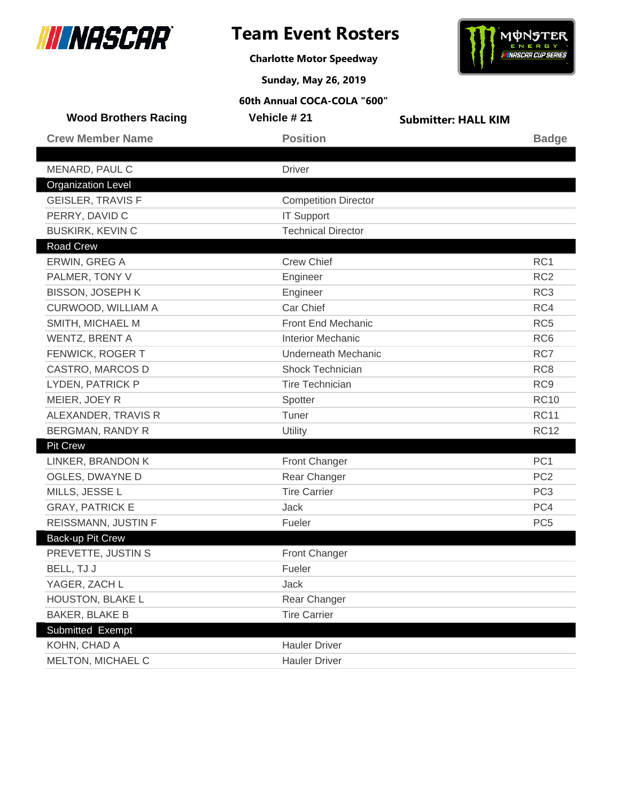

**Charlotte Motor Speedway**



**Sunday, May 26, 2019**

| <b>Wood Brothers Racing</b> | Vehicle # 21                | <b>Submitter: HALL KIM</b> |                 |
|-----------------------------|-----------------------------|----------------------------|-----------------|
| <b>Crew Member Name</b>     | <b>Position</b>             |                            | <b>Badge</b>    |
|                             |                             |                            |                 |
| MENARD, PAUL C              | <b>Driver</b>               |                            |                 |
| <b>Organization Level</b>   |                             |                            |                 |
| <b>GEISLER, TRAVIS F</b>    | <b>Competition Director</b> |                            |                 |
| PERRY, DAVID C              | <b>IT Support</b>           |                            |                 |
| <b>BUSKIRK, KEVIN C</b>     | <b>Technical Director</b>   |                            |                 |
| Road Crew                   |                             |                            |                 |
| ERWIN, GREG A               | <b>Crew Chief</b>           |                            | RC1             |
| PALMER, TONY V              | Engineer                    |                            | RC <sub>2</sub> |
| <b>BISSON, JOSEPH K</b>     | Engineer                    |                            | RC <sub>3</sub> |
| CURWOOD, WILLIAM A          | Car Chief                   |                            | RC4             |
| SMITH, MICHAEL M            | Front End Mechanic          |                            | RC <sub>5</sub> |
| WENTZ, BRENT A              | <b>Interior Mechanic</b>    |                            | RC <sub>6</sub> |
| FENWICK, ROGER T            | <b>Underneath Mechanic</b>  |                            | RC7             |
| CASTRO, MARCOS D            | <b>Shock Technician</b>     |                            | RC <sub>8</sub> |
| LYDEN, PATRICK P            | Tire Technician             |                            | RC <sub>9</sub> |
| MEIER, JOEY R               | Spotter                     |                            | <b>RC10</b>     |
| ALEXANDER, TRAVIS R         | Tuner                       |                            | <b>RC11</b>     |
| <b>BERGMAN, RANDY R</b>     | Utility                     |                            | <b>RC12</b>     |
| <b>Pit Crew</b>             |                             |                            |                 |
| LINKER, BRANDON K           | <b>Front Changer</b>        |                            | PC <sub>1</sub> |
| OGLES, DWAYNE D             | Rear Changer                |                            | PC <sub>2</sub> |
| MILLS, JESSE L              | <b>Tire Carrier</b>         |                            | PC <sub>3</sub> |
| <b>GRAY, PATRICK E</b>      | Jack                        |                            | PC4             |
| REISSMANN, JUSTIN F         | Fueler                      |                            | PC <sub>5</sub> |
| Back-up Pit Crew            |                             |                            |                 |
| PREVETTE, JUSTIN S          | <b>Front Changer</b>        |                            |                 |
| BELL, TJ J                  | Fueler                      |                            |                 |
| YAGER, ZACH L               | Jack                        |                            |                 |
| HOUSTON, BLAKE L            | Rear Changer                |                            |                 |
| <b>BAKER, BLAKE B</b>       | <b>Tire Carrier</b>         |                            |                 |
| Submitted Exempt            |                             |                            |                 |
| KOHN, CHAD A                | <b>Hauler Driver</b>        |                            |                 |
| MELTON, MICHAEL C           | <b>Hauler Driver</b>        |                            |                 |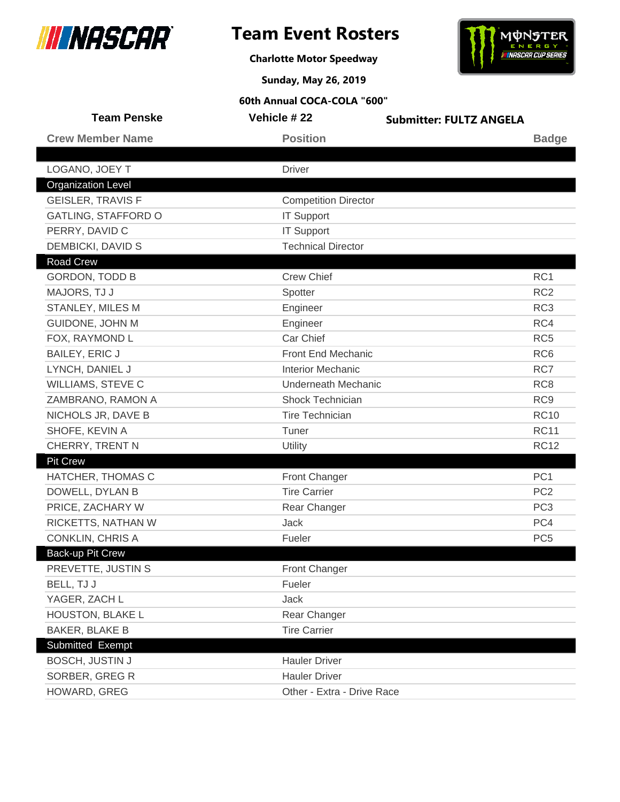



**Charlotte Motor Speedway**

**Sunday, May 26, 2019**

| <b>Team Penske</b>         | Vehicle #22                 | <b>Submitter: FULTZ ANGELA</b> |                 |
|----------------------------|-----------------------------|--------------------------------|-----------------|
| <b>Crew Member Name</b>    | <b>Position</b>             |                                | <b>Badge</b>    |
|                            |                             |                                |                 |
| LOGANO, JOEY T             | <b>Driver</b>               |                                |                 |
| <b>Organization Level</b>  |                             |                                |                 |
| <b>GEISLER, TRAVIS F</b>   | <b>Competition Director</b> |                                |                 |
| <b>GATLING, STAFFORD O</b> | <b>IT Support</b>           |                                |                 |
| PERRY, DAVID C             | <b>IT Support</b>           |                                |                 |
| DEMBICKI, DAVID S          | <b>Technical Director</b>   |                                |                 |
| <b>Road Crew</b>           |                             |                                |                 |
| <b>GORDON, TODD B</b>      | <b>Crew Chief</b>           |                                | RC1             |
| MAJORS, TJ J               | Spotter                     |                                | RC <sub>2</sub> |
| STANLEY, MILES M           | Engineer                    |                                | RC <sub>3</sub> |
| GUIDONE, JOHN M            | Engineer                    |                                | RC4             |
| FOX, RAYMOND L             | Car Chief                   |                                | RC <sub>5</sub> |
| <b>BAILEY, ERIC J</b>      | Front End Mechanic          |                                | RC <sub>6</sub> |
| LYNCH, DANIEL J            | <b>Interior Mechanic</b>    |                                | RC7             |
| WILLIAMS, STEVE C          | <b>Underneath Mechanic</b>  |                                | RC <sub>8</sub> |
| ZAMBRANO, RAMON A          | <b>Shock Technician</b>     |                                | RC <sub>9</sub> |
| NICHOLS JR, DAVE B         | <b>Tire Technician</b>      |                                | <b>RC10</b>     |
| SHOFE, KEVIN A             | Tuner                       |                                | <b>RC11</b>     |
| CHERRY, TRENT N            | Utility                     |                                | <b>RC12</b>     |
| <b>Pit Crew</b>            |                             |                                |                 |
| HATCHER, THOMAS C          | <b>Front Changer</b>        |                                | PC <sub>1</sub> |
| DOWELL, DYLAN B            | <b>Tire Carrier</b>         |                                | PC <sub>2</sub> |
| PRICE, ZACHARY W           | Rear Changer                |                                | PC <sub>3</sub> |
| RICKETTS, NATHAN W         | <b>Jack</b>                 |                                | PC4             |
| <b>CONKLIN, CHRIS A</b>    | Fueler                      |                                | PC <sub>5</sub> |
| <b>Back-up Pit Crew</b>    |                             |                                |                 |
| PREVETTE, JUSTIN S         | Front Changer               |                                |                 |
| BELL, TJ J                 | Fueler                      |                                |                 |
| YAGER, ZACH L              | Jack                        |                                |                 |
| HOUSTON, BLAKE L           | Rear Changer                |                                |                 |
| <b>BAKER, BLAKE B</b>      | <b>Tire Carrier</b>         |                                |                 |
| Submitted Exempt           |                             |                                |                 |
| <b>BOSCH, JUSTIN J</b>     | <b>Hauler Driver</b>        |                                |                 |
| SORBER, GREG R             | <b>Hauler Driver</b>        |                                |                 |
| HOWARD, GREG               | Other - Extra - Drive Race  |                                |                 |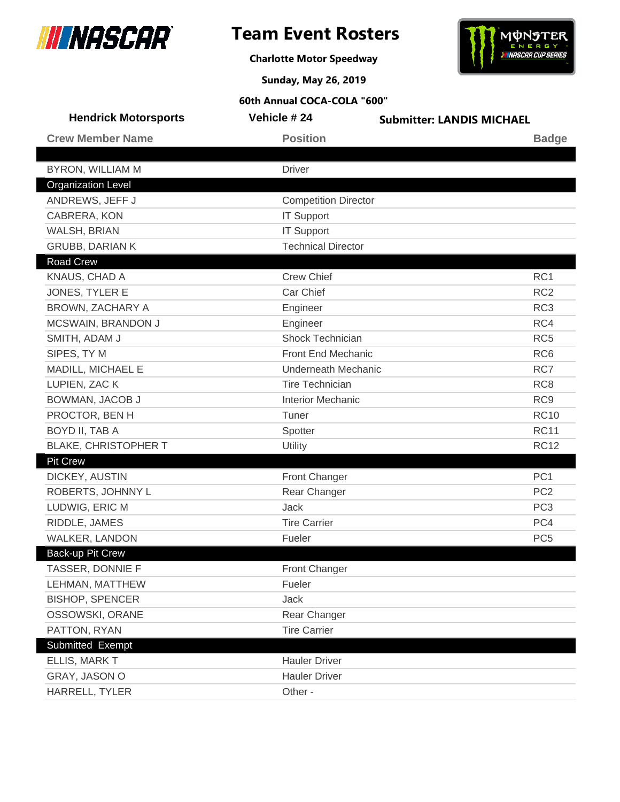



**Charlotte Motor Speedway**

**Sunday, May 26, 2019**

| <b>Hendrick Motorsports</b> | Vehicle # 24                | <b>Submitter: LANDIS MICHAEL</b> |
|-----------------------------|-----------------------------|----------------------------------|
| <b>Crew Member Name</b>     | <b>Position</b>             | <b>Badge</b>                     |
|                             |                             |                                  |
| <b>BYRON, WILLIAM M</b>     | <b>Driver</b>               |                                  |
| <b>Organization Level</b>   |                             |                                  |
| ANDREWS, JEFF J             | <b>Competition Director</b> |                                  |
| CABRERA, KON                | <b>IT Support</b>           |                                  |
| WALSH, BRIAN                | <b>IT Support</b>           |                                  |
| <b>GRUBB, DARIAN K</b>      | <b>Technical Director</b>   |                                  |
| <b>Road Crew</b>            |                             |                                  |
| KNAUS, CHAD A               | <b>Crew Chief</b>           | RC <sub>1</sub>                  |
| JONES, TYLER E              | Car Chief                   | RC <sub>2</sub>                  |
| BROWN, ZACHARY A            | Engineer                    | RC <sub>3</sub>                  |
| MCSWAIN, BRANDON J          | Engineer                    | RC4                              |
| SMITH, ADAM J               | Shock Technician            | RC <sub>5</sub>                  |
| SIPES, TY M                 | Front End Mechanic          | RC <sub>6</sub>                  |
| MADILL, MICHAEL E           | Underneath Mechanic         | RC7                              |
| LUPIEN, ZAC K               | <b>Tire Technician</b>      | RC <sub>8</sub>                  |
| BOWMAN, JACOB J             | <b>Interior Mechanic</b>    | RC <sub>9</sub>                  |
| PROCTOR, BEN H              | Tuner                       | <b>RC10</b>                      |
| BOYD II, TAB A              | Spotter                     | <b>RC11</b>                      |
| <b>BLAKE, CHRISTOPHER T</b> | Utility                     | <b>RC12</b>                      |
| <b>Pit Crew</b>             |                             |                                  |
| DICKEY, AUSTIN              | Front Changer               | PC <sub>1</sub>                  |
| ROBERTS, JOHNNY L           | Rear Changer                | PC <sub>2</sub>                  |
| LUDWIG, ERIC M              | Jack                        | PC <sub>3</sub>                  |
| RIDDLE, JAMES               | <b>Tire Carrier</b>         | PC4                              |
| WALKER, LANDON              | Fueler                      | PC <sub>5</sub>                  |
| Back-up Pit Crew            |                             |                                  |
| TASSER, DONNIE F            | Front Changer               |                                  |
| LEHMAN, MATTHEW             | Fueler                      |                                  |
| <b>BISHOP, SPENCER</b>      | Jack                        |                                  |
| OSSOWSKI, ORANE             | Rear Changer                |                                  |
| PATTON, RYAN                | <b>Tire Carrier</b>         |                                  |
| Submitted Exempt            |                             |                                  |
| ELLIS, MARK T               | <b>Hauler Driver</b>        |                                  |
| GRAY, JASON O               | <b>Hauler Driver</b>        |                                  |
| HARRELL, TYLER              | Other -                     |                                  |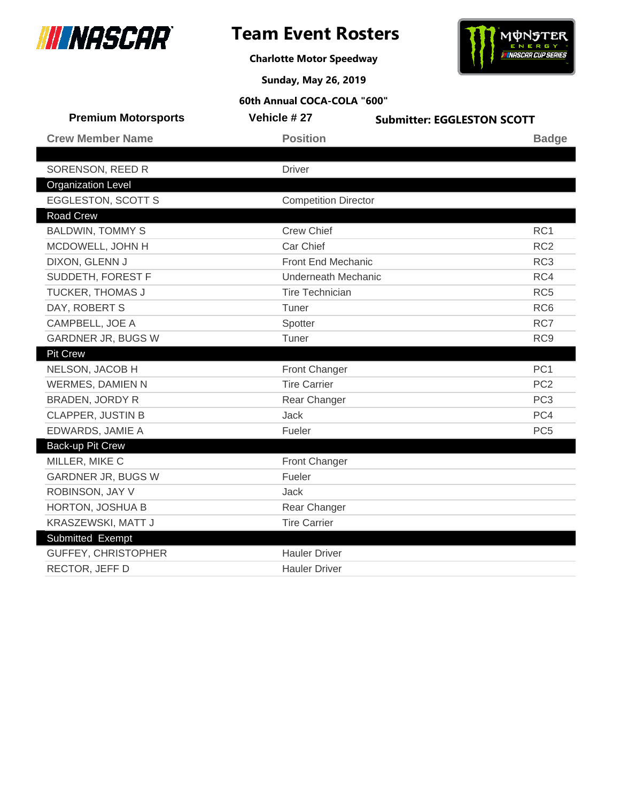





**Sunday, May 26, 2019**

| <b>Premium Motorsports</b> | Vehicle #27                 | <b>Submitter: EGGLESTON SCOTT</b> |
|----------------------------|-----------------------------|-----------------------------------|
| <b>Crew Member Name</b>    | <b>Position</b>             | <b>Badge</b>                      |
|                            |                             |                                   |
| SORENSON, REED R           | <b>Driver</b>               |                                   |
| <b>Organization Level</b>  |                             |                                   |
| <b>EGGLESTON, SCOTT S</b>  | <b>Competition Director</b> |                                   |
| <b>Road Crew</b>           |                             |                                   |
| <b>BALDWIN, TOMMY S</b>    | <b>Crew Chief</b>           | RC <sub>1</sub>                   |
| MCDOWELL, JOHN H           | Car Chief                   | RC <sub>2</sub>                   |
| DIXON, GLENN J             | Front End Mechanic          | RC <sub>3</sub>                   |
| SUDDETH, FOREST F          | <b>Underneath Mechanic</b>  | RC4                               |
| TUCKER, THOMAS J           | <b>Tire Technician</b>      | RC <sub>5</sub>                   |
| DAY, ROBERT S              | Tuner                       | RC <sub>6</sub>                   |
| CAMPBELL, JOE A            | Spotter                     | RC7                               |
| <b>GARDNER JR, BUGS W</b>  | Tuner                       | RC <sub>9</sub>                   |
| <b>Pit Crew</b>            |                             |                                   |
| NELSON, JACOB H            | Front Changer               | PC <sub>1</sub>                   |
| <b>WERMES, DAMIEN N</b>    | <b>Tire Carrier</b>         | PC <sub>2</sub>                   |
| <b>BRADEN, JORDY R</b>     | Rear Changer                | PC <sub>3</sub>                   |
| <b>CLAPPER, JUSTIN B</b>   | Jack                        | PC4                               |
| EDWARDS, JAMIE A           | Fueler                      | PC <sub>5</sub>                   |
| Back-up Pit Crew           |                             |                                   |
| MILLER, MIKE C             | Front Changer               |                                   |
| <b>GARDNER JR, BUGS W</b>  | Fueler                      |                                   |
| ROBINSON, JAY V            | Jack                        |                                   |
| HORTON, JOSHUA B           | Rear Changer                |                                   |
| KRASZEWSKI, MATT J         | <b>Tire Carrier</b>         |                                   |
| Submitted Exempt           |                             |                                   |
| <b>GUFFEY, CHRISTOPHER</b> | <b>Hauler Driver</b>        |                                   |
| RECTOR, JEFF D             | <b>Hauler Driver</b>        |                                   |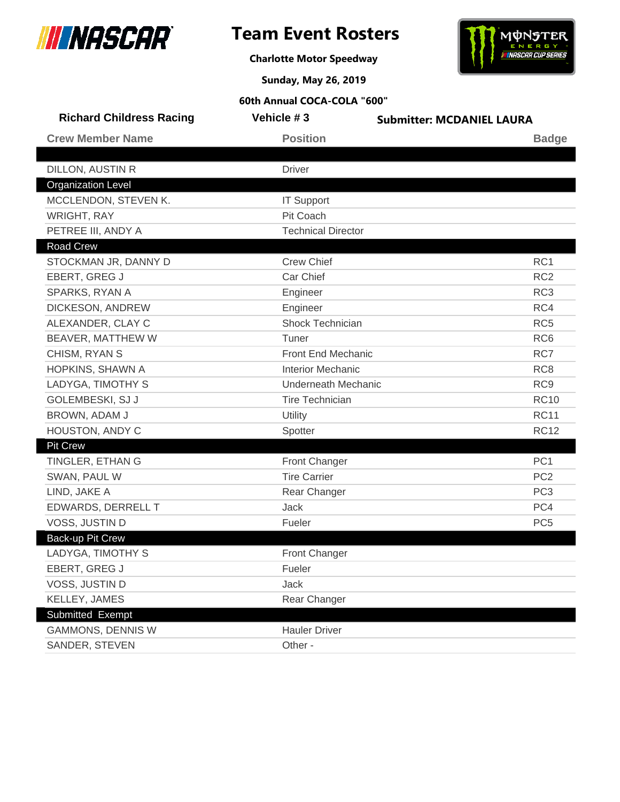

I

# **Team Event Rosters**

**Charlotte Motor Speedway**



**Sunday, May 26, 2019**

| <b>Richard Childress Racing</b> | Vehicle #3                 | <b>Submitter: MCDANIEL LAURA</b> |
|---------------------------------|----------------------------|----------------------------------|
| <b>Crew Member Name</b>         | <b>Position</b>            | <b>Badge</b>                     |
| DILLON, AUSTIN R                | <b>Driver</b>              |                                  |
| <b>Organization Level</b>       |                            |                                  |
| MCCLENDON, STEVEN K.            | <b>IT Support</b>          |                                  |
| <b>WRIGHT, RAY</b>              | Pit Coach                  |                                  |
| PETREE III, ANDY A              | <b>Technical Director</b>  |                                  |
| <b>Road Crew</b>                |                            |                                  |
| STOCKMAN JR, DANNY D            | <b>Crew Chief</b>          | RC1                              |
| EBERT, GREG J                   | Car Chief                  | RC <sub>2</sub>                  |
| SPARKS, RYAN A                  | Engineer                   | RC <sub>3</sub>                  |
| DICKESON, ANDREW                | Engineer                   | RC4                              |
| ALEXANDER, CLAY C               | Shock Technician           | RC <sub>5</sub>                  |
| BEAVER, MATTHEW W               | Tuner                      | RC <sub>6</sub>                  |
| CHISM, RYAN S                   | Front End Mechanic         | RC7                              |
| HOPKINS, SHAWN A                | <b>Interior Mechanic</b>   | RC <sub>8</sub>                  |
| LADYGA, TIMOTHY S               | <b>Underneath Mechanic</b> | RC <sub>9</sub>                  |
| GOLEMBESKI, SJ J                | <b>Tire Technician</b>     | <b>RC10</b>                      |
| BROWN, ADAM J                   | Utility                    | <b>RC11</b>                      |
| HOUSTON, ANDY C                 | Spotter                    | <b>RC12</b>                      |
| <b>Pit Crew</b>                 |                            |                                  |
| TINGLER, ETHAN G                | Front Changer              | PC <sub>1</sub>                  |
| SWAN, PAUL W                    | <b>Tire Carrier</b>        | PC <sub>2</sub>                  |
| LIND, JAKE A                    | Rear Changer               | PC <sub>3</sub>                  |
| EDWARDS, DERRELL T              | Jack                       | PC4                              |
| VOSS, JUSTIN D                  | Fueler                     | PC <sub>5</sub>                  |
| <b>Back-up Pit Crew</b>         |                            |                                  |
| LADYGA, TIMOTHY S               | <b>Front Changer</b>       |                                  |
| EBERT, GREG J                   | Fueler                     |                                  |
| VOSS, JUSTIN D                  | Jack                       |                                  |
| KELLEY, JAMES                   | Rear Changer               |                                  |
| Submitted Exempt                |                            |                                  |
| GAMMONS, DENNIS W               | <b>Hauler Driver</b>       |                                  |
| SANDER, STEVEN                  | Other -                    |                                  |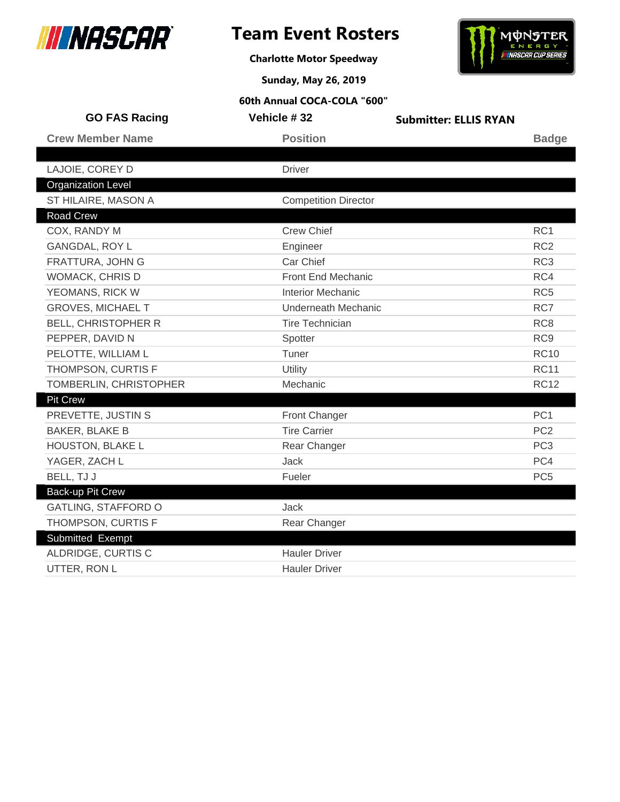

**Charlotte Motor Speedway**



**Sunday, May 26, 2019**

| <b>GO FAS Racing</b>       | Vehicle #32                 | <b>Submitter: ELLIS RYAN</b> |                 |
|----------------------------|-----------------------------|------------------------------|-----------------|
| <b>Crew Member Name</b>    | <b>Position</b>             |                              | <b>Badge</b>    |
|                            |                             |                              |                 |
| LAJOIE, COREY D            | <b>Driver</b>               |                              |                 |
| <b>Organization Level</b>  |                             |                              |                 |
| ST HILAIRE, MASON A        | <b>Competition Director</b> |                              |                 |
| <b>Road Crew</b>           |                             |                              |                 |
| COX, RANDY M               | <b>Crew Chief</b>           |                              | RC <sub>1</sub> |
| <b>GANGDAL, ROY L</b>      | Engineer                    |                              | RC <sub>2</sub> |
| <b>FRATTURA, JOHN G</b>    | Car Chief                   |                              | RC <sub>3</sub> |
| <b>WOMACK, CHRIS D</b>     | Front End Mechanic          |                              | RC4             |
| YEOMANS, RICK W            | <b>Interior Mechanic</b>    |                              | RC <sub>5</sub> |
| <b>GROVES, MICHAEL T</b>   | <b>Underneath Mechanic</b>  |                              | RC7             |
| <b>BELL, CHRISTOPHER R</b> | <b>Tire Technician</b>      |                              | RC <sub>8</sub> |
| PEPPER, DAVID N            | Spotter                     |                              | RC <sub>9</sub> |
| PELOTTE, WILLIAM L         | Tuner                       |                              | <b>RC10</b>     |
| THOMPSON, CURTIS F         | Utility                     |                              | <b>RC11</b>     |
| TOMBERLIN, CHRISTOPHER     | Mechanic                    |                              | <b>RC12</b>     |
| <b>Pit Crew</b>            |                             |                              |                 |
| PREVETTE, JUSTIN S         | Front Changer               |                              | PC <sub>1</sub> |
| <b>BAKER, BLAKE B</b>      | <b>Tire Carrier</b>         |                              | PC <sub>2</sub> |
| HOUSTON, BLAKE L           | Rear Changer                |                              | PC <sub>3</sub> |
| YAGER, ZACH L              | Jack                        |                              | PC4             |
| BELL, TJ J                 | Fueler                      |                              | PC <sub>5</sub> |
| Back-up Pit Crew           |                             |                              |                 |
| <b>GATLING, STAFFORD O</b> | Jack                        |                              |                 |
| THOMPSON, CURTIS F         | Rear Changer                |                              |                 |
| Submitted Exempt           |                             |                              |                 |
| ALDRIDGE, CURTIS C         | <b>Hauler Driver</b>        |                              |                 |
| UTTER, RON L               | <b>Hauler Driver</b>        |                              |                 |
|                            |                             |                              |                 |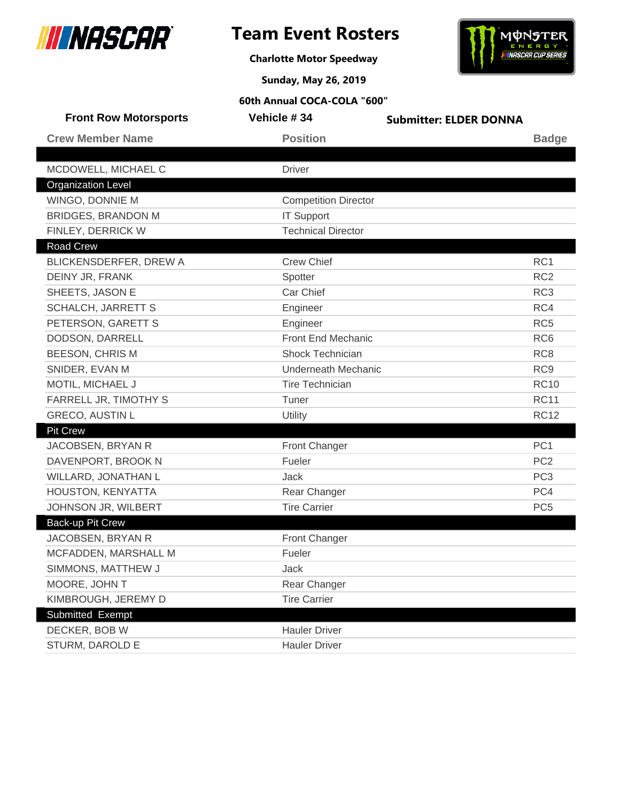

**Charlotte Motor Speedway**



**Sunday, May 26, 2019**

| <b>Front Row Motorsports</b> | Vehicle #34                 | <b>Submitter: ELDER DONNA</b> |                 |
|------------------------------|-----------------------------|-------------------------------|-----------------|
| <b>Crew Member Name</b>      | <b>Position</b>             |                               | <b>Badge</b>    |
|                              |                             |                               |                 |
| MCDOWELL, MICHAEL C          | <b>Driver</b>               |                               |                 |
| <b>Organization Level</b>    |                             |                               |                 |
| WINGO, DONNIE M              | <b>Competition Director</b> |                               |                 |
| <b>BRIDGES, BRANDON M</b>    | <b>IT Support</b>           |                               |                 |
| FINLEY, DERRICK W            | <b>Technical Director</b>   |                               |                 |
| <b>Road Crew</b>             |                             |                               |                 |
| BLICKENSDERFER, DREW A       | <b>Crew Chief</b>           |                               | RC <sub>1</sub> |
| DEINY JR, FRANK              | Spotter                     |                               | RC <sub>2</sub> |
| SHEETS, JASON E              | Car Chief                   |                               | RC <sub>3</sub> |
| <b>SCHALCH, JARRETT S</b>    | Engineer                    |                               | RC4             |
| PETERSON, GARETT S           | Engineer                    |                               | RC <sub>5</sub> |
| DODSON, DARRELL              | Front End Mechanic          |                               | RC <sub>6</sub> |
| <b>BEESON, CHRIS M</b>       | <b>Shock Technician</b>     |                               | RC <sub>8</sub> |
| SNIDER, EVAN M               | <b>Underneath Mechanic</b>  |                               | RC <sub>9</sub> |
| MOTIL, MICHAEL J             | <b>Tire Technician</b>      |                               | <b>RC10</b>     |
| FARRELL JR, TIMOTHY S        | Tuner                       |                               | <b>RC11</b>     |
| <b>GRECO, AUSTIN L</b>       | Utility                     |                               | <b>RC12</b>     |
| <b>Pit Crew</b>              |                             |                               |                 |
| JACOBSEN, BRYAN R            | Front Changer               |                               | PC <sub>1</sub> |
| DAVENPORT, BROOK N           | Fueler                      |                               | PC <sub>2</sub> |
| WILLARD, JONATHAN L          | Jack                        |                               | PC <sub>3</sub> |
| HOUSTON, KENYATTA            | Rear Changer                |                               | PC4             |
| JOHNSON JR, WILBERT          | <b>Tire Carrier</b>         |                               | PC <sub>5</sub> |
| Back-up Pit Crew             |                             |                               |                 |
| JACOBSEN, BRYAN R            | Front Changer               |                               |                 |
| MCFADDEN, MARSHALL M         | Fueler                      |                               |                 |
| SIMMONS, MATTHEW J           | Jack                        |                               |                 |
| MOORE, JOHN T                | Rear Changer                |                               |                 |
| KIMBROUGH, JEREMY D          | <b>Tire Carrier</b>         |                               |                 |
| Submitted Exempt             |                             |                               |                 |
| DECKER, BOB W                | <b>Hauler Driver</b>        |                               |                 |
| STURM, DAROLD E              | <b>Hauler Driver</b>        |                               |                 |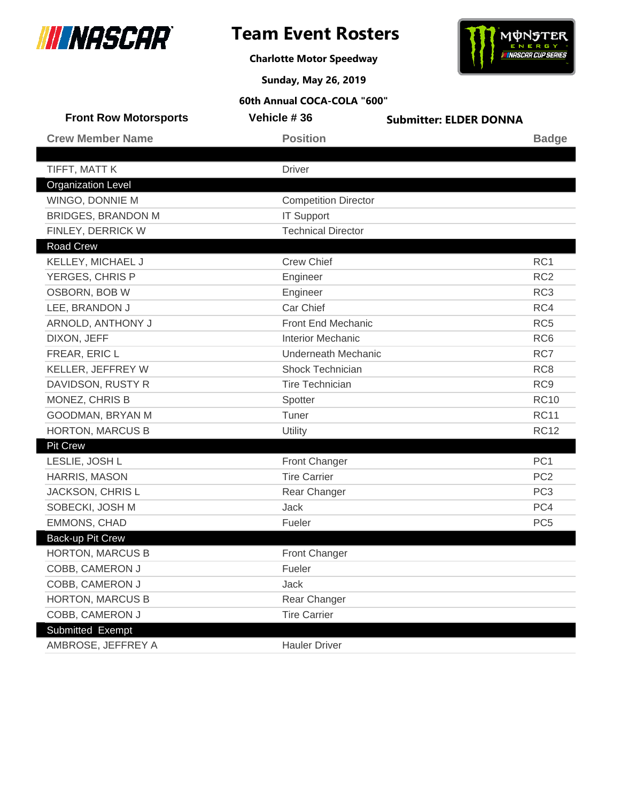

 $\overline{\phantom{a}}$ 

# **Team Event Rosters**

**Charlotte Motor Speedway**



**Sunday, May 26, 2019**

| Vehicle #36          | <b>Submitter: ELDER DONNA</b>                                                                                                                                                                                                                                                                                                                         |                            |
|----------------------|-------------------------------------------------------------------------------------------------------------------------------------------------------------------------------------------------------------------------------------------------------------------------------------------------------------------------------------------------------|----------------------------|
| <b>Position</b>      |                                                                                                                                                                                                                                                                                                                                                       | <b>Badge</b>               |
|                      |                                                                                                                                                                                                                                                                                                                                                       |                            |
|                      |                                                                                                                                                                                                                                                                                                                                                       |                            |
|                      |                                                                                                                                                                                                                                                                                                                                                       |                            |
|                      |                                                                                                                                                                                                                                                                                                                                                       |                            |
|                      |                                                                                                                                                                                                                                                                                                                                                       |                            |
|                      |                                                                                                                                                                                                                                                                                                                                                       |                            |
|                      |                                                                                                                                                                                                                                                                                                                                                       |                            |
|                      |                                                                                                                                                                                                                                                                                                                                                       | RC1                        |
|                      |                                                                                                                                                                                                                                                                                                                                                       | RC <sub>2</sub>            |
|                      |                                                                                                                                                                                                                                                                                                                                                       | RC <sub>3</sub>            |
|                      |                                                                                                                                                                                                                                                                                                                                                       | RC4                        |
|                      |                                                                                                                                                                                                                                                                                                                                                       | RC <sub>5</sub>            |
|                      |                                                                                                                                                                                                                                                                                                                                                       | RC <sub>6</sub>            |
|                      |                                                                                                                                                                                                                                                                                                                                                       | RC7                        |
|                      |                                                                                                                                                                                                                                                                                                                                                       | RC <sub>8</sub>            |
|                      |                                                                                                                                                                                                                                                                                                                                                       | RC <sub>9</sub>            |
|                      |                                                                                                                                                                                                                                                                                                                                                       | <b>RC10</b>                |
|                      |                                                                                                                                                                                                                                                                                                                                                       | <b>RC11</b>                |
|                      |                                                                                                                                                                                                                                                                                                                                                       | <b>RC12</b>                |
|                      |                                                                                                                                                                                                                                                                                                                                                       |                            |
|                      |                                                                                                                                                                                                                                                                                                                                                       | PC <sub>1</sub>            |
|                      |                                                                                                                                                                                                                                                                                                                                                       | PC <sub>2</sub>            |
| Rear Changer         |                                                                                                                                                                                                                                                                                                                                                       | PC <sub>3</sub>            |
|                      |                                                                                                                                                                                                                                                                                                                                                       | PC4                        |
| Fueler               |                                                                                                                                                                                                                                                                                                                                                       | PC <sub>5</sub>            |
|                      |                                                                                                                                                                                                                                                                                                                                                       |                            |
| <b>Front Changer</b> |                                                                                                                                                                                                                                                                                                                                                       |                            |
| Fueler               |                                                                                                                                                                                                                                                                                                                                                       |                            |
| Jack                 |                                                                                                                                                                                                                                                                                                                                                       |                            |
| Rear Changer         |                                                                                                                                                                                                                                                                                                                                                       |                            |
| <b>Tire Carrier</b>  |                                                                                                                                                                                                                                                                                                                                                       |                            |
|                      |                                                                                                                                                                                                                                                                                                                                                       |                            |
| <b>Hauler Driver</b> |                                                                                                                                                                                                                                                                                                                                                       |                            |
|                      | <b>Driver</b><br><b>Competition Director</b><br><b>IT Support</b><br><b>Technical Director</b><br><b>Crew Chief</b><br>Engineer<br>Engineer<br>Car Chief<br>Front End Mechanic<br><b>Interior Mechanic</b><br><b>Shock Technician</b><br><b>Tire Technician</b><br>Spotter<br>Tuner<br>Utility<br><b>Front Changer</b><br><b>Tire Carrier</b><br>Jack | <b>Underneath Mechanic</b> |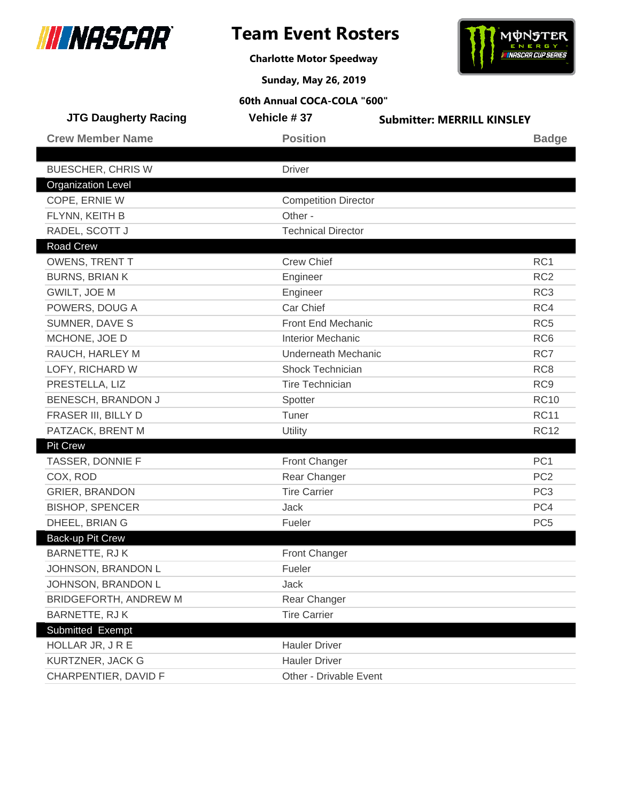

I

# **Team Event Rosters**



**Charlotte Motor Speedway**

**Sunday, May 26, 2019**

| <b>JTG Daugherty Racing</b> | Vehicle #37                 | <b>Submitter: MERRILL KINSLEY</b> |
|-----------------------------|-----------------------------|-----------------------------------|
| <b>Crew Member Name</b>     | <b>Position</b>             | <b>Badge</b>                      |
|                             |                             |                                   |
| <b>BUESCHER, CHRIS W</b>    | <b>Driver</b>               |                                   |
| <b>Organization Level</b>   |                             |                                   |
| COPE, ERNIE W               | <b>Competition Director</b> |                                   |
| FLYNN, KEITH B              | Other -                     |                                   |
| RADEL, SCOTT J              | <b>Technical Director</b>   |                                   |
| <b>Road Crew</b>            |                             |                                   |
| <b>OWENS, TRENT T</b>       | <b>Crew Chief</b>           | RC <sub>1</sub>                   |
| <b>BURNS, BRIAN K</b>       | Engineer                    | RC <sub>2</sub>                   |
| GWILT, JOE M                | Engineer                    | RC <sub>3</sub>                   |
| POWERS, DOUG A              | Car Chief                   | RC4                               |
| SUMNER, DAVE S              | Front End Mechanic          | RC <sub>5</sub>                   |
| MCHONE, JOE D               | <b>Interior Mechanic</b>    | RC <sub>6</sub>                   |
| RAUCH, HARLEY M             | <b>Underneath Mechanic</b>  | RC7                               |
| LOFY, RICHARD W             | Shock Technician            | RC <sub>8</sub>                   |
| PRESTELLA, LIZ              | <b>Tire Technician</b>      | RC <sub>9</sub>                   |
| BENESCH, BRANDON J          | Spotter                     | <b>RC10</b>                       |
| FRASER III, BILLY D         | Tuner                       | <b>RC11</b>                       |
| PATZACK, BRENT M            | Utility                     | <b>RC12</b>                       |
| <b>Pit Crew</b>             |                             |                                   |
| TASSER, DONNIE F            | <b>Front Changer</b>        | PC <sub>1</sub>                   |
| COX, ROD                    | Rear Changer                | PC <sub>2</sub>                   |
| <b>GRIER, BRANDON</b>       | <b>Tire Carrier</b>         | PC <sub>3</sub>                   |
| <b>BISHOP, SPENCER</b>      | Jack                        | PC4                               |
| DHEEL, BRIAN G              | Fueler                      | PC <sub>5</sub>                   |
| Back-up Pit Crew            |                             |                                   |
| BARNETTE, RJ K              | Front Changer               |                                   |
| JOHNSON, BRANDON L          | Fueler                      |                                   |
| JOHNSON, BRANDON L          | Jack                        |                                   |
| BRIDGEFORTH, ANDREW M       | Rear Changer                |                                   |
| BARNETTE, RJ K              | <b>Tire Carrier</b>         |                                   |
| Submitted Exempt            |                             |                                   |
| HOLLAR JR, JRE              | <b>Hauler Driver</b>        |                                   |
| KURTZNER, JACK G            | <b>Hauler Driver</b>        |                                   |
| CHARPENTIER, DAVID F        | Other - Drivable Event      |                                   |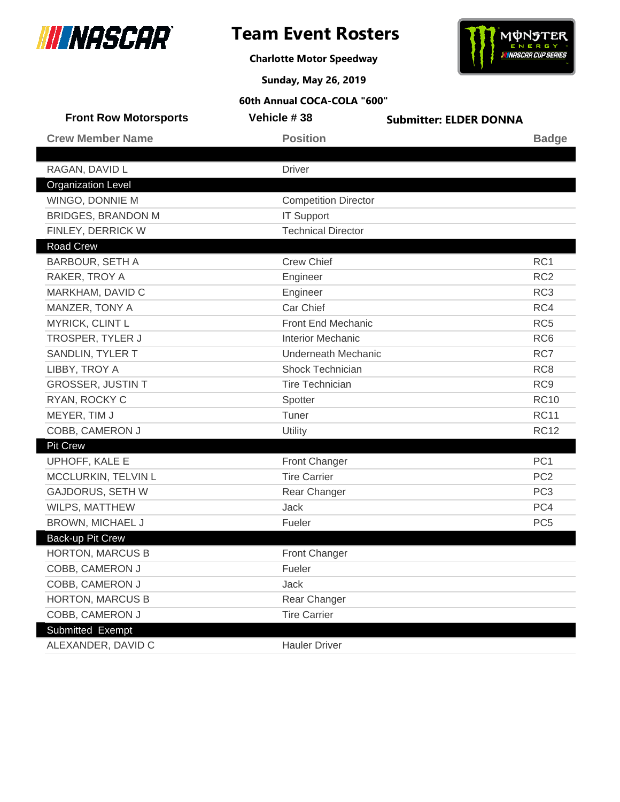

# **Team Event Rosters**

**Charlotte Motor Speedway**



**Sunday, May 26, 2019**

| <b>Front Row Motorsports</b> | Vehicle #38                 | <b>Submitter: ELDER DONNA</b> |                 |
|------------------------------|-----------------------------|-------------------------------|-----------------|
| <b>Crew Member Name</b>      | <b>Position</b>             |                               | <b>Badge</b>    |
|                              |                             |                               |                 |
| RAGAN, DAVID L               | <b>Driver</b>               |                               |                 |
| <b>Organization Level</b>    |                             |                               |                 |
| WINGO, DONNIE M              | <b>Competition Director</b> |                               |                 |
| <b>BRIDGES, BRANDON M</b>    | <b>IT Support</b>           |                               |                 |
| FINLEY, DERRICK W            | <b>Technical Director</b>   |                               |                 |
| <b>Road Crew</b>             |                             |                               |                 |
| BARBOUR, SETH A              | <b>Crew Chief</b>           |                               | RC <sub>1</sub> |
| RAKER, TROY A                | Engineer                    |                               | RC <sub>2</sub> |
| MARKHAM, DAVID C             | Engineer                    |                               | RC <sub>3</sub> |
| MANZER, TONY A               | Car Chief                   |                               | RC4             |
| MYRICK, CLINT L              | Front End Mechanic          |                               | RC <sub>5</sub> |
| TROSPER, TYLER J             | <b>Interior Mechanic</b>    |                               | RC <sub>6</sub> |
| SANDLIN, TYLER T             | <b>Underneath Mechanic</b>  |                               | RC7             |
| LIBBY, TROY A                | <b>Shock Technician</b>     |                               | RC <sub>8</sub> |
| <b>GROSSER, JUSTIN T</b>     | <b>Tire Technician</b>      |                               | RC <sub>9</sub> |
| RYAN, ROCKY C                | Spotter                     |                               | <b>RC10</b>     |
| MEYER, TIM J                 | Tuner                       |                               | <b>RC11</b>     |
| COBB, CAMERON J              | Utility                     |                               | <b>RC12</b>     |
| <b>Pit Crew</b>              |                             |                               |                 |
| UPHOFF, KALE E               | <b>Front Changer</b>        |                               | PC <sub>1</sub> |
| MCCLURKIN, TELVIN L          | <b>Tire Carrier</b>         |                               | PC <sub>2</sub> |
| <b>GAJDORUS, SETH W</b>      | Rear Changer                |                               | PC <sub>3</sub> |
| WILPS, MATTHEW               | <b>Jack</b>                 |                               | PC4             |
| BROWN, MICHAEL J             | Fueler                      |                               | PC <sub>5</sub> |
| Back-up Pit Crew             |                             |                               |                 |
| <b>HORTON, MARCUS B</b>      | <b>Front Changer</b>        |                               |                 |
| COBB, CAMERON J              | Fueler                      |                               |                 |
| COBB, CAMERON J              | Jack                        |                               |                 |
| <b>HORTON, MARCUS B</b>      | Rear Changer                |                               |                 |
| COBB, CAMERON J              | <b>Tire Carrier</b>         |                               |                 |
| Submitted Exempt             |                             |                               |                 |
| ALEXANDER, DAVID C           | <b>Hauler Driver</b>        |                               |                 |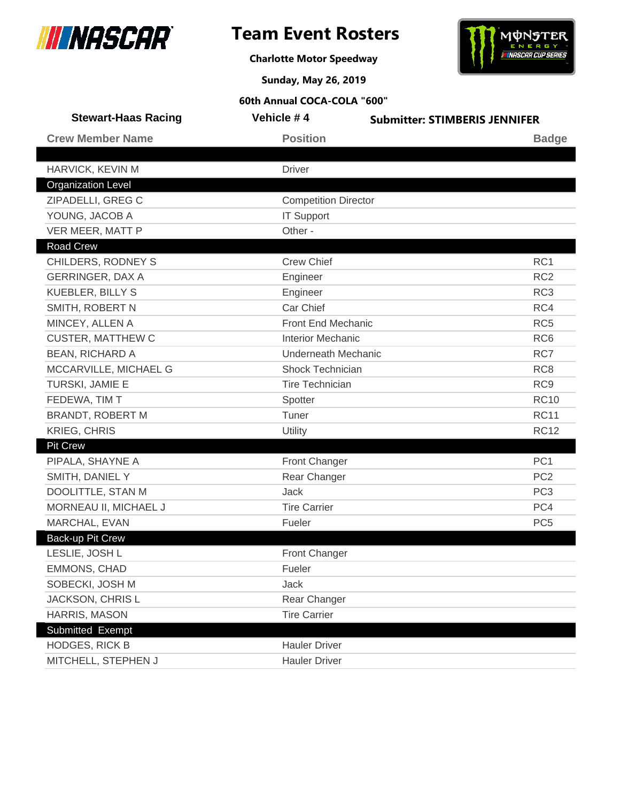

**Charlotte Motor Speedway**



**Sunday, May 26, 2019**

| <b>Stewart-Haas Racing</b> | Vehicle #4                  | <b>Submitter: STIMBERIS JENNIFER</b> |
|----------------------------|-----------------------------|--------------------------------------|
| <b>Crew Member Name</b>    | <b>Position</b>             | <b>Badge</b>                         |
|                            |                             |                                      |
| HARVICK, KEVIN M           | <b>Driver</b>               |                                      |
| <b>Organization Level</b>  |                             |                                      |
| ZIPADELLI, GREG C          | <b>Competition Director</b> |                                      |
| YOUNG, JACOB A             | <b>IT Support</b>           |                                      |
| VER MEER, MATT P           | Other -                     |                                      |
| <b>Road Crew</b>           |                             |                                      |
| CHILDERS, RODNEY S         | <b>Crew Chief</b>           | RC <sub>1</sub>                      |
| <b>GERRINGER, DAX A</b>    | Engineer                    | RC <sub>2</sub>                      |
| <b>KUEBLER, BILLY S</b>    | Engineer                    | RC <sub>3</sub>                      |
| SMITH, ROBERT N            | Car Chief                   | RC4                                  |
| MINCEY, ALLEN A            | <b>Front End Mechanic</b>   | RC <sub>5</sub>                      |
| <b>CUSTER, MATTHEW C</b>   | <b>Interior Mechanic</b>    | RC <sub>6</sub>                      |
| <b>BEAN, RICHARD A</b>     | <b>Underneath Mechanic</b>  | RC7                                  |
| MCCARVILLE, MICHAEL G      | <b>Shock Technician</b>     | RC <sub>8</sub>                      |
| TURSKI, JAMIE E            | <b>Tire Technician</b>      | RC <sub>9</sub>                      |
| FEDEWA, TIM T              | Spotter                     | <b>RC10</b>                          |
| BRANDT, ROBERT M           | Tuner                       | <b>RC11</b>                          |
| <b>KRIEG, CHRIS</b>        | Utility                     | <b>RC12</b>                          |
| <b>Pit Crew</b>            |                             |                                      |
| PIPALA, SHAYNE A           | Front Changer               | PC <sub>1</sub>                      |
| SMITH, DANIEL Y            | Rear Changer                | PC <sub>2</sub>                      |
| DOOLITTLE, STAN M          | <b>Jack</b>                 | PC <sub>3</sub>                      |
| MORNEAU II, MICHAEL J      | <b>Tire Carrier</b>         | PC4                                  |
| MARCHAL, EVAN              | Fueler                      | PC <sub>5</sub>                      |
| Back-up Pit Crew           |                             |                                      |
| LESLIE, JOSH L             | <b>Front Changer</b>        |                                      |
| EMMONS, CHAD               | Fueler                      |                                      |
| SOBECKI, JOSH M            | Jack                        |                                      |
| JACKSON, CHRIS L           | Rear Changer                |                                      |
| <b>HARRIS, MASON</b>       | <b>Tire Carrier</b>         |                                      |
| Submitted Exempt           |                             |                                      |
| <b>HODGES, RICK B</b>      | <b>Hauler Driver</b>        |                                      |
| MITCHELL, STEPHEN J        | <b>Hauler Driver</b>        |                                      |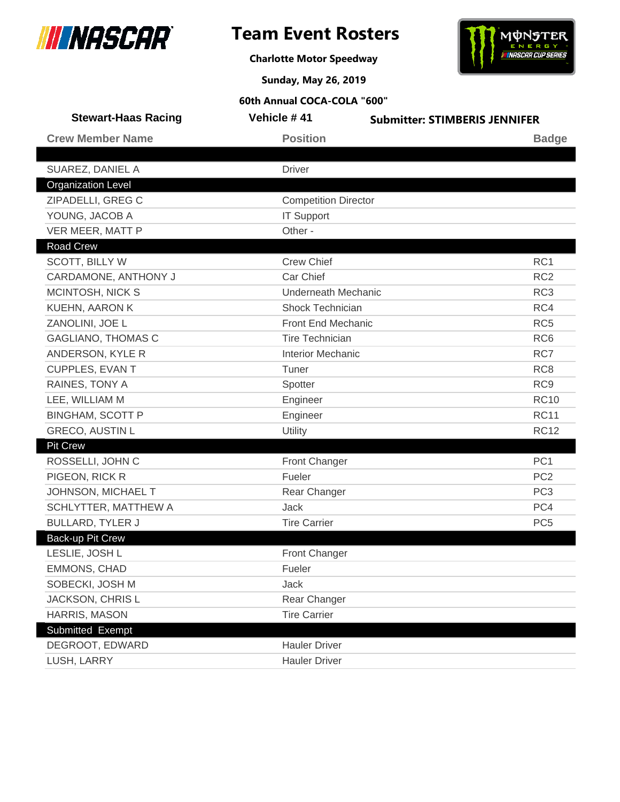

**Charlotte Motor Speedway**



**Sunday, May 26, 2019**

| <b>Stewart-Haas Racing</b> | Vehicle #41                 | <b>Submitter: STIMBERIS JENNIFER</b> |
|----------------------------|-----------------------------|--------------------------------------|
| <b>Crew Member Name</b>    | <b>Position</b>             | <b>Badge</b>                         |
|                            |                             |                                      |
| SUAREZ, DANIEL A           | <b>Driver</b>               |                                      |
| <b>Organization Level</b>  |                             |                                      |
| ZIPADELLI, GREG C          | <b>Competition Director</b> |                                      |
| YOUNG, JACOB A             | <b>IT Support</b>           |                                      |
| VER MEER, MATT P           | Other -                     |                                      |
| <b>Road Crew</b>           |                             |                                      |
| <b>SCOTT, BILLY W</b>      | <b>Crew Chief</b>           | RC <sub>1</sub>                      |
| CARDAMONE, ANTHONY J       | Car Chief                   | RC <sub>2</sub>                      |
| MCINTOSH, NICK S           | <b>Underneath Mechanic</b>  | RC <sub>3</sub>                      |
| KUEHN, AARON K             | Shock Technician            | RC4                                  |
| ZANOLINI, JOE L            | Front End Mechanic          | RC <sub>5</sub>                      |
| <b>GAGLIANO, THOMAS C</b>  | <b>Tire Technician</b>      | RC <sub>6</sub>                      |
| ANDERSON, KYLE R           | <b>Interior Mechanic</b>    | RC7                                  |
| <b>CUPPLES, EVAN T</b>     | Tuner                       | RC <sub>8</sub>                      |
| RAINES, TONY A             | Spotter                     | RC <sub>9</sub>                      |
| LEE, WILLIAM M             | Engineer                    | <b>RC10</b>                          |
| <b>BINGHAM, SCOTT P</b>    | Engineer                    | <b>RC11</b>                          |
| <b>GRECO, AUSTIN L</b>     | Utility                     | <b>RC12</b>                          |
| <b>Pit Crew</b>            |                             |                                      |
| ROSSELLI, JOHN C           | <b>Front Changer</b>        | PC <sub>1</sub>                      |
| PIGEON, RICK R             | Fueler                      | PC <sub>2</sub>                      |
| JOHNSON, MICHAEL T         | Rear Changer                | PC <sub>3</sub>                      |
| SCHLYTTER, MATTHEW A       | Jack                        | PC4                                  |
| <b>BULLARD, TYLER J</b>    | <b>Tire Carrier</b>         | PC <sub>5</sub>                      |
| <b>Back-up Pit Crew</b>    |                             |                                      |
| LESLIE, JOSH L             | Front Changer               |                                      |
| EMMONS, CHAD               | Fueler                      |                                      |
| SOBECKI, JOSH M            | Jack                        |                                      |
| JACKSON, CHRIS L           | Rear Changer                |                                      |
| HARRIS, MASON              | <b>Tire Carrier</b>         |                                      |
| Submitted Exempt           |                             |                                      |
| DEGROOT, EDWARD            | <b>Hauler Driver</b>        |                                      |
| LUSH, LARRY                | <b>Hauler Driver</b>        |                                      |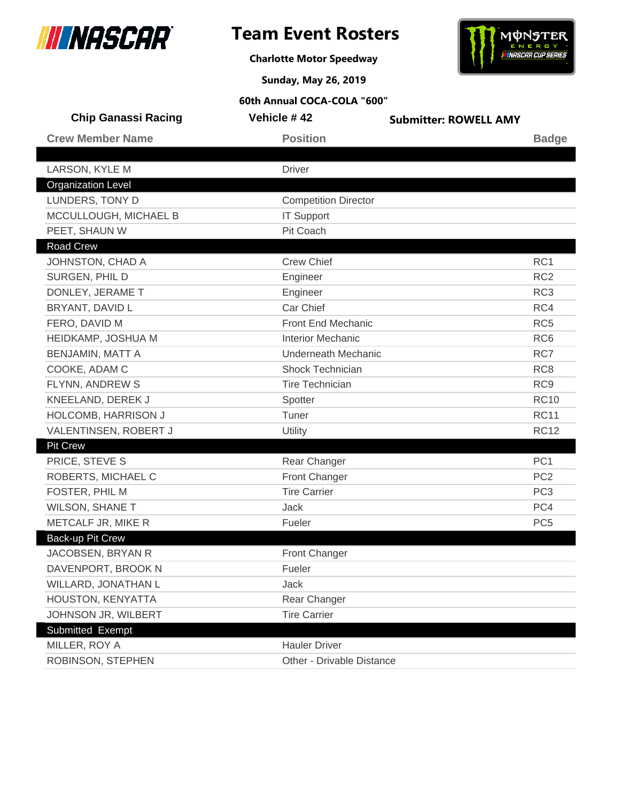



**Charlotte Motor Speedway**

**Sunday, May 26, 2019**

| <b>Chip Ganassi Racing</b> | Vehicle #42                 | <b>Submitter: ROWELL AMY</b> |  |
|----------------------------|-----------------------------|------------------------------|--|
| <b>Crew Member Name</b>    | <b>Position</b>             | <b>Badge</b>                 |  |
|                            |                             |                              |  |
| LARSON, KYLE M             | <b>Driver</b>               |                              |  |
| <b>Organization Level</b>  |                             |                              |  |
| LUNDERS, TONY D            | <b>Competition Director</b> |                              |  |
| MCCULLOUGH, MICHAEL B      | <b>IT Support</b>           |                              |  |
| PEET, SHAUN W              | Pit Coach                   |                              |  |
| <b>Road Crew</b>           |                             |                              |  |
| JOHNSTON, CHAD A           | <b>Crew Chief</b>           | RC1                          |  |
| SURGEN, PHIL D             | Engineer                    | RC <sub>2</sub>              |  |
| DONLEY, JERAME T           | Engineer                    | RC <sub>3</sub>              |  |
| BRYANT, DAVID L            | Car Chief                   | RC4                          |  |
| FERO, DAVID M              | <b>Front End Mechanic</b>   | RC <sub>5</sub>              |  |
| HEIDKAMP, JOSHUA M         | <b>Interior Mechanic</b>    | RC <sub>6</sub>              |  |
| <b>BENJAMIN, MATT A</b>    | <b>Underneath Mechanic</b>  | RC7                          |  |
| COOKE, ADAM C              | Shock Technician            | RC <sub>8</sub>              |  |
| FLYNN, ANDREW S            | <b>Tire Technician</b>      | RC <sub>9</sub>              |  |
| KNEELAND, DEREK J          | Spotter                     | <b>RC10</b>                  |  |
| HOLCOMB, HARRISON J        | Tuner                       | <b>RC11</b>                  |  |
| VALENTINSEN, ROBERT J      | Utility                     | <b>RC12</b>                  |  |
| <b>Pit Crew</b>            |                             |                              |  |
| PRICE, STEVE S             | Rear Changer                | PC <sub>1</sub>              |  |
| ROBERTS, MICHAEL C         | Front Changer               | PC <sub>2</sub>              |  |
| FOSTER, PHIL M             | <b>Tire Carrier</b>         | PC <sub>3</sub>              |  |
| <b>WILSON, SHANE T</b>     | Jack                        | PC4                          |  |
| METCALF JR, MIKE R         | Fueler                      | PC <sub>5</sub>              |  |
| Back-up Pit Crew           |                             |                              |  |
| JACOBSEN, BRYAN R          | <b>Front Changer</b>        |                              |  |
| DAVENPORT, BROOK N         | Fueler                      |                              |  |
| WILLARD, JONATHAN L        | <b>Jack</b>                 |                              |  |
| HOUSTON, KENYATTA          | Rear Changer                |                              |  |
| JOHNSON JR, WILBERT        | <b>Tire Carrier</b>         |                              |  |
| Submitted Exempt           |                             |                              |  |
| MILLER, ROY A              | <b>Hauler Driver</b>        |                              |  |
| ROBINSON, STEPHEN          | Other - Drivable Distance   |                              |  |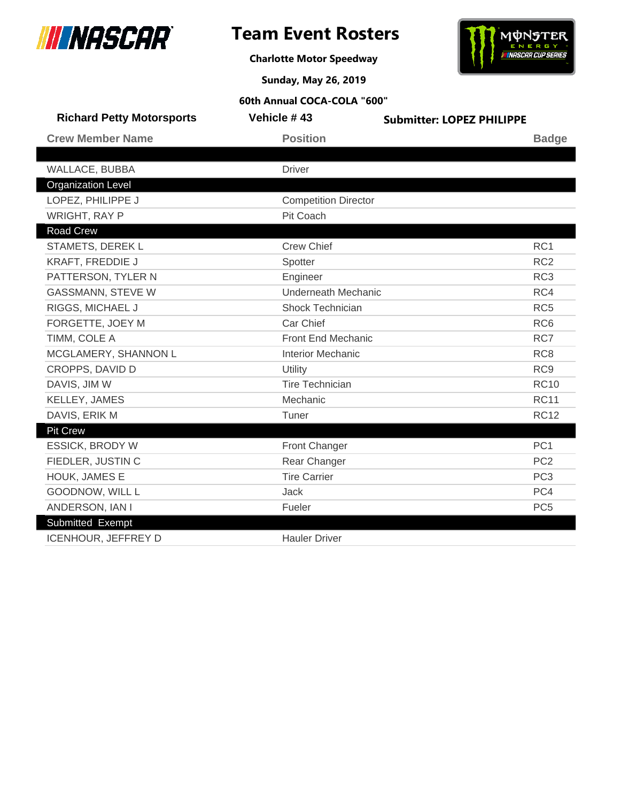

# **Team Event Rosters**



**Charlotte Motor Speedway**

**Sunday, May 26, 2019**

| <b>Richard Petty Motorsports</b> | Vehicle #43                 | <b>Submitter: LOPEZ PHILIPPE</b> |
|----------------------------------|-----------------------------|----------------------------------|
| <b>Crew Member Name</b>          | <b>Position</b>             | <b>Badge</b>                     |
|                                  |                             |                                  |
| WALLACE, BUBBA                   | <b>Driver</b>               |                                  |
| <b>Organization Level</b>        |                             |                                  |
| LOPEZ, PHILIPPE J                | <b>Competition Director</b> |                                  |
| <b>WRIGHT, RAY P</b>             | Pit Coach                   |                                  |
| <b>Road Crew</b>                 |                             |                                  |
| STAMETS, DEREK L                 | <b>Crew Chief</b>           | RC1                              |
| KRAFT, FREDDIE J                 | Spotter                     | RC <sub>2</sub>                  |
| PATTERSON, TYLER N               | Engineer                    | RC <sub>3</sub>                  |
| <b>GASSMANN, STEVE W</b>         | <b>Underneath Mechanic</b>  | RC4                              |
| RIGGS, MICHAEL J                 | Shock Technician            | RC <sub>5</sub>                  |
| FORGETTE, JOEY M                 | Car Chief                   | RC <sub>6</sub>                  |
| TIMM, COLE A                     | <b>Front End Mechanic</b>   | RC7                              |
| MCGLAMERY, SHANNON L             | <b>Interior Mechanic</b>    | RC <sub>8</sub>                  |
| CROPPS, DAVID D                  | Utility                     | RC <sub>9</sub>                  |
| DAVIS, JIM W                     | <b>Tire Technician</b>      | <b>RC10</b>                      |
| KELLEY, JAMES                    | Mechanic                    | <b>RC11</b>                      |
| DAVIS, ERIK M                    | Tuner                       | <b>RC12</b>                      |
| <b>Pit Crew</b>                  |                             |                                  |
| <b>ESSICK, BRODY W</b>           | Front Changer               | PC <sub>1</sub>                  |
| FIEDLER, JUSTIN C                | Rear Changer                | PC <sub>2</sub>                  |
| HOUK, JAMES E                    | <b>Tire Carrier</b>         | PC <sub>3</sub>                  |
| GOODNOW, WILL L                  | <b>Jack</b>                 | PC4                              |
| ANDERSON, IAN I                  | Fueler                      | PC <sub>5</sub>                  |
| Submitted Exempt                 |                             |                                  |
| <b>ICENHOUR, JEFFREY D</b>       | <b>Hauler Driver</b>        |                                  |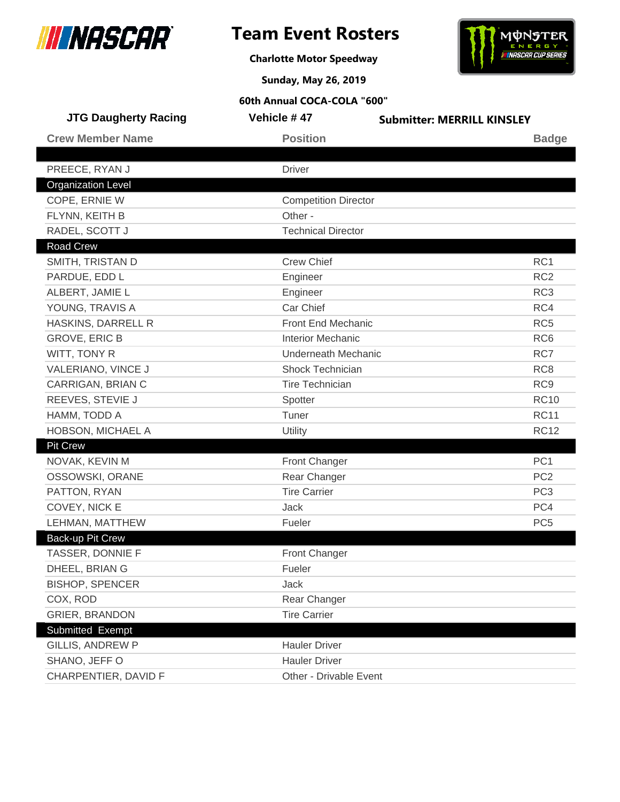



**Charlotte Motor Speedway**

**Sunday, May 26, 2019**

| <b>JTG Daugherty Racing</b> | Vehicle #47                 | <b>Submitter: MERRILL KINSLEY</b> |
|-----------------------------|-----------------------------|-----------------------------------|
| <b>Crew Member Name</b>     | <b>Position</b>             | <b>Badge</b>                      |
|                             |                             |                                   |
| PREECE, RYAN J              | <b>Driver</b>               |                                   |
| <b>Organization Level</b>   |                             |                                   |
| COPE, ERNIE W               | <b>Competition Director</b> |                                   |
| FLYNN, KEITH B              | Other -                     |                                   |
| RADEL, SCOTT J              | <b>Technical Director</b>   |                                   |
| <b>Road Crew</b>            |                             |                                   |
| SMITH, TRISTAN D            | <b>Crew Chief</b>           | RC <sub>1</sub>                   |
| PARDUE, EDD L               | Engineer                    | RC <sub>2</sub>                   |
| ALBERT, JAMIE L             | Engineer                    | RC <sub>3</sub>                   |
| YOUNG, TRAVIS A             | Car Chief                   | RC4                               |
| HASKINS, DARRELL R          | Front End Mechanic          | RC <sub>5</sub>                   |
| <b>GROVE, ERIC B</b>        | <b>Interior Mechanic</b>    | RC <sub>6</sub>                   |
| WITT, TONY R                | <b>Underneath Mechanic</b>  | RC7                               |
| VALERIANO, VINCE J          | Shock Technician            | RC <sub>8</sub>                   |
| CARRIGAN, BRIAN C           | <b>Tire Technician</b>      | RC <sub>9</sub>                   |
| REEVES, STEVIE J            | Spotter                     | <b>RC10</b>                       |
| HAMM, TODD A                | Tuner                       | <b>RC11</b>                       |
| HOBSON, MICHAEL A           | Utility                     | <b>RC12</b>                       |
| <b>Pit Crew</b>             |                             |                                   |
| NOVAK, KEVIN M              | <b>Front Changer</b>        | PC <sub>1</sub>                   |
| OSSOWSKI, ORANE             | Rear Changer                | PC <sub>2</sub>                   |
| PATTON, RYAN                | <b>Tire Carrier</b>         | PC <sub>3</sub>                   |
| COVEY, NICK E               | Jack                        | PC4                               |
| LEHMAN, MATTHEW             | Fueler                      | PC <sub>5</sub>                   |
| <b>Back-up Pit Crew</b>     |                             |                                   |
| TASSER, DONNIE F            | <b>Front Changer</b>        |                                   |
| DHEEL, BRIAN G              | Fueler                      |                                   |
| <b>BISHOP, SPENCER</b>      | Jack                        |                                   |
| COX, ROD                    | Rear Changer                |                                   |
| <b>GRIER, BRANDON</b>       | <b>Tire Carrier</b>         |                                   |
| Submitted Exempt            |                             |                                   |
| <b>GILLIS, ANDREW P</b>     | <b>Hauler Driver</b>        |                                   |
| SHANO, JEFF O               | <b>Hauler Driver</b>        |                                   |
| CHARPENTIER, DAVID F        | Other - Drivable Event      |                                   |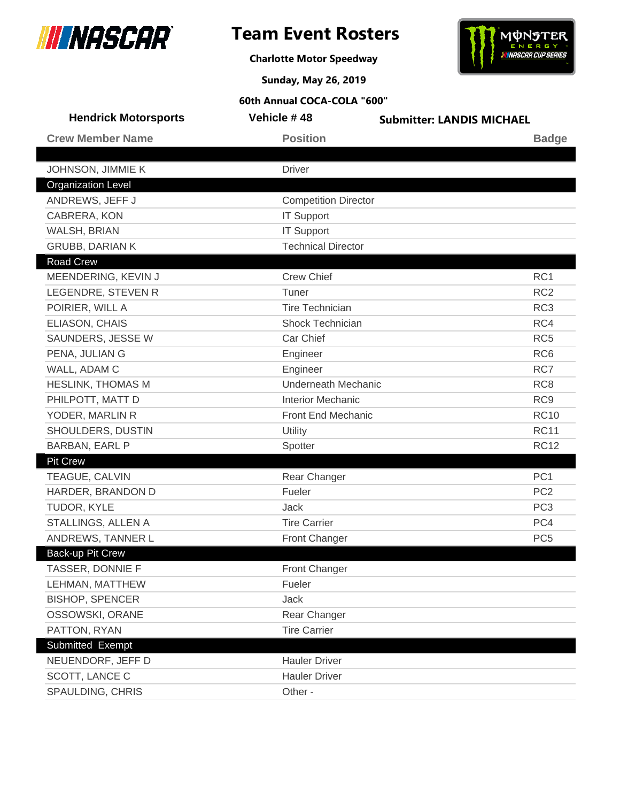





**Sunday, May 26, 2019**

| <b>Hendrick Motorsports</b> | Vehicle #48                 | <b>Submitter: LANDIS MICHAEL</b> |
|-----------------------------|-----------------------------|----------------------------------|
| <b>Crew Member Name</b>     | <b>Position</b>             | <b>Badge</b>                     |
|                             |                             |                                  |
| JOHNSON, JIMMIE K           | <b>Driver</b>               |                                  |
| <b>Organization Level</b>   |                             |                                  |
| ANDREWS, JEFF J             | <b>Competition Director</b> |                                  |
| CABRERA, KON                | <b>IT Support</b>           |                                  |
| WALSH, BRIAN                | <b>IT Support</b>           |                                  |
| <b>GRUBB, DARIAN K</b>      | <b>Technical Director</b>   |                                  |
| Road Crew                   |                             |                                  |
| MEENDERING, KEVIN J         | <b>Crew Chief</b>           | RC <sub>1</sub>                  |
| LEGENDRE, STEVEN R          | Tuner                       | RC <sub>2</sub>                  |
| POIRIER, WILL A             | <b>Tire Technician</b>      | RC <sub>3</sub>                  |
| ELIASON, CHAIS              | Shock Technician            | RC4                              |
| SAUNDERS, JESSE W           | Car Chief                   | RC <sub>5</sub>                  |
| PENA, JULIAN G              | Engineer                    | RC <sub>6</sub>                  |
| WALL, ADAM C                | Engineer                    | RC7                              |
| <b>HESLINK, THOMAS M</b>    | <b>Underneath Mechanic</b>  | RC <sub>8</sub>                  |
| PHILPOTT, MATT D            | <b>Interior Mechanic</b>    | RC <sub>9</sub>                  |
| YODER, MARLIN R             | Front End Mechanic          | <b>RC10</b>                      |
| SHOULDERS, DUSTIN           | Utility                     | <b>RC11</b>                      |
| BARBAN, EARL P              | Spotter                     | <b>RC12</b>                      |
| <b>Pit Crew</b>             |                             |                                  |
| TEAGUE, CALVIN              | Rear Changer                | PC <sub>1</sub>                  |
| HARDER, BRANDON D           | Fueler                      | PC <sub>2</sub>                  |
| TUDOR, KYLE                 | Jack                        | PC <sub>3</sub>                  |
| STALLINGS, ALLEN A          | <b>Tire Carrier</b>         | PC4                              |
| ANDREWS, TANNER L           | Front Changer               | PC <sub>5</sub>                  |
| Back-up Pit Crew            |                             |                                  |
| TASSER, DONNIE F            | <b>Front Changer</b>        |                                  |
| LEHMAN, MATTHEW             | Fueler                      |                                  |
| <b>BISHOP, SPENCER</b>      | Jack                        |                                  |
| OSSOWSKI, ORANE             | Rear Changer                |                                  |
| PATTON, RYAN                | <b>Tire Carrier</b>         |                                  |
| Submitted Exempt            |                             |                                  |
| NEUENDORF, JEFF D           | <b>Hauler Driver</b>        |                                  |
| SCOTT, LANCE C              | <b>Hauler Driver</b>        |                                  |
| SPAULDING, CHRIS            | Other -                     |                                  |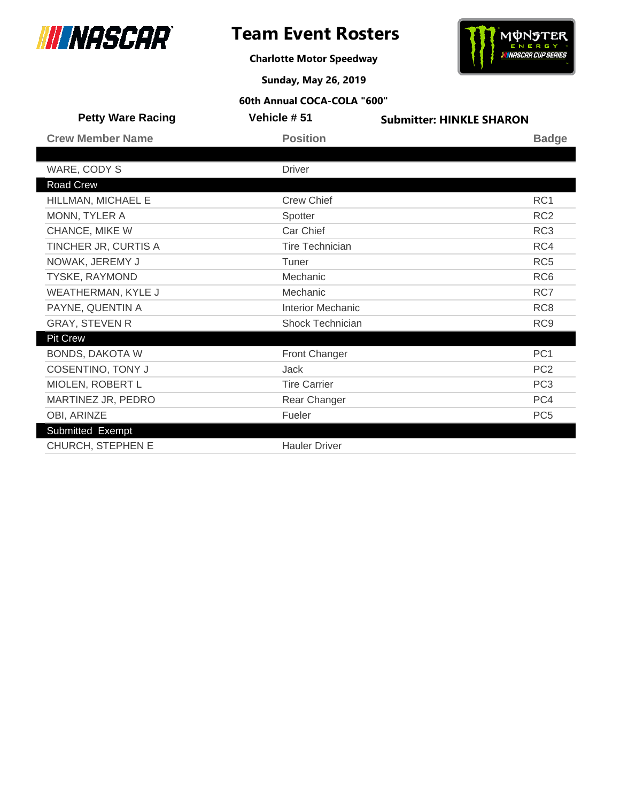



**Charlotte Motor Speedway**

**Sunday, May 26, 2019**

| <b>Petty Ware Racing</b> | Vehicle #51              | <b>Submitter: HINKLE SHARON</b> |
|--------------------------|--------------------------|---------------------------------|
| <b>Crew Member Name</b>  | <b>Position</b>          | <b>Badge</b>                    |
|                          |                          |                                 |
| WARE, CODY S             | <b>Driver</b>            |                                 |
| Road Crew                |                          |                                 |
| HILLMAN, MICHAEL E       | <b>Crew Chief</b>        | RC1                             |
| MONN, TYLER A            | Spotter                  | RC <sub>2</sub>                 |
| CHANCE, MIKE W           | Car Chief                | RC <sub>3</sub>                 |
| TINCHER JR, CURTIS A     | <b>Tire Technician</b>   | RC4                             |
| NOWAK, JEREMY J          | Tuner                    | RC <sub>5</sub>                 |
| TYSKE, RAYMOND           | Mechanic                 | RC <sub>6</sub>                 |
| WEATHERMAN, KYLE J       | Mechanic                 | RC7                             |
| PAYNE, QUENTIN A         | <b>Interior Mechanic</b> | RC <sub>8</sub>                 |
| <b>GRAY, STEVEN R</b>    | Shock Technician         | RC <sub>9</sub>                 |
| <b>Pit Crew</b>          |                          |                                 |
| <b>BONDS, DAKOTA W</b>   | Front Changer            | PC <sub>1</sub>                 |
| <b>COSENTINO, TONY J</b> | <b>Jack</b>              | PC <sub>2</sub>                 |
| MIOLEN, ROBERT L         | <b>Tire Carrier</b>      | PC <sub>3</sub>                 |
| MARTINEZ JR, PEDRO       | Rear Changer             | PC4                             |
| OBI, ARINZE              | Fueler                   | PC <sub>5</sub>                 |
| Submitted Exempt         |                          |                                 |
| CHURCH, STEPHEN E        | <b>Hauler Driver</b>     |                                 |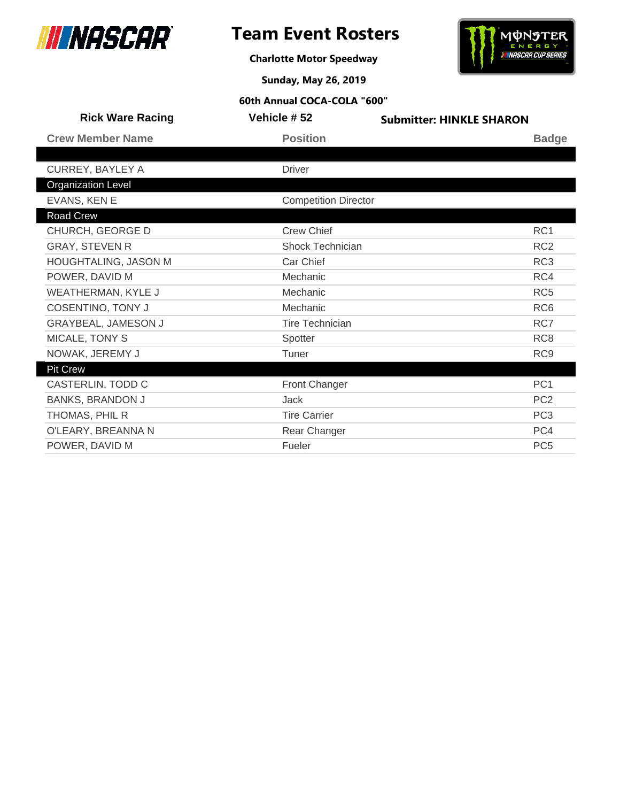



**Charlotte Motor Speedway**

**Sunday, May 26, 2019**

| <b>Rick Ware Racing</b>   | Vehicle # 52                | <b>Submitter: HINKLE SHARON</b> |
|---------------------------|-----------------------------|---------------------------------|
| <b>Crew Member Name</b>   | <b>Position</b>             | <b>Badge</b>                    |
|                           |                             |                                 |
| <b>CURREY, BAYLEY A</b>   | <b>Driver</b>               |                                 |
| <b>Organization Level</b> |                             |                                 |
| EVANS, KEN E              | <b>Competition Director</b> |                                 |
| Road Crew                 |                             |                                 |
| CHURCH, GEORGE D          | <b>Crew Chief</b>           | RC <sub>1</sub>                 |
| <b>GRAY, STEVEN R</b>     | Shock Technician            | RC <sub>2</sub>                 |
| HOUGHTALING, JASON M      | Car Chief                   | RC <sub>3</sub>                 |
| POWER, DAVID M            | Mechanic                    | RC4                             |
| WEATHERMAN, KYLE J        | Mechanic                    | RC <sub>5</sub>                 |
| <b>COSENTINO, TONY J</b>  | Mechanic                    | RC <sub>6</sub>                 |
| GRAYBEAL, JAMESON J       | <b>Tire Technician</b>      | RC7                             |
| MICALE, TONY S            | Spotter                     | RC <sub>8</sub>                 |
| NOWAK, JEREMY J           | Tuner                       | RC <sub>9</sub>                 |
| <b>Pit Crew</b>           |                             |                                 |
| CASTERLIN, TODD C         | Front Changer               | PC <sub>1</sub>                 |
| <b>BANKS, BRANDON J</b>   | <b>Jack</b>                 | PC <sub>2</sub>                 |
| THOMAS, PHIL R            | <b>Tire Carrier</b>         | PC <sub>3</sub>                 |
| O'LEARY, BREANNA N        | Rear Changer                | PC4                             |
| POWER, DAVID M            | Fueler                      | PC <sub>5</sub>                 |
|                           |                             |                                 |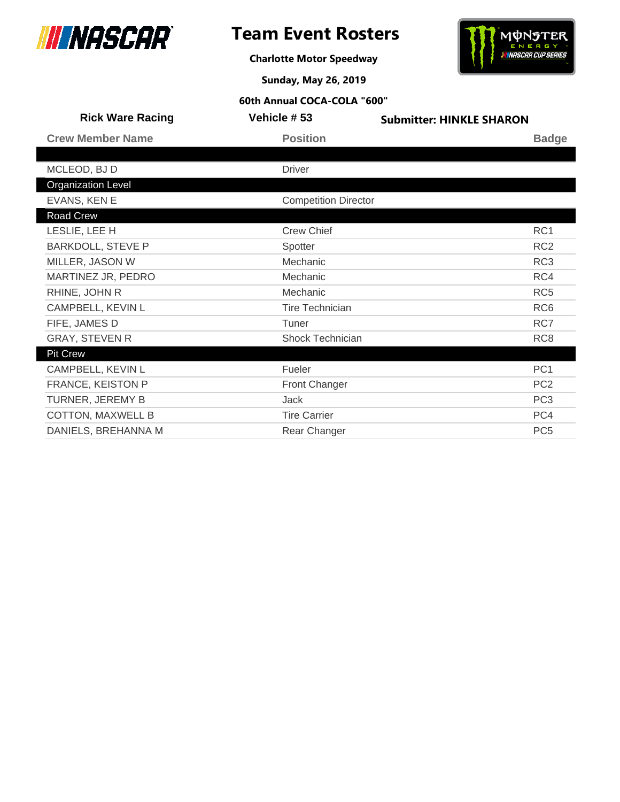



**Charlotte Motor Speedway**

**Sunday, May 26, 2019**

| <b>Rick Ware Racing</b>   | Vehicle #53                 | <b>Submitter: HINKLE SHARON</b> |
|---------------------------|-----------------------------|---------------------------------|
| <b>Crew Member Name</b>   | <b>Position</b>             | <b>Badge</b>                    |
|                           |                             |                                 |
| MCLEOD, BJ D              | <b>Driver</b>               |                                 |
| <b>Organization Level</b> |                             |                                 |
| EVANS, KEN E              | <b>Competition Director</b> |                                 |
| Road Crew                 |                             |                                 |
| LESLIE, LEE H             | <b>Crew Chief</b>           | RC1                             |
| <b>BARKDOLL, STEVE P</b>  | Spotter                     | RC <sub>2</sub>                 |
| MILLER, JASON W           | Mechanic                    | RC <sub>3</sub>                 |
| MARTINEZ JR, PEDRO        | Mechanic                    | RC4                             |
| RHINE, JOHN R             | Mechanic                    | RC <sub>5</sub>                 |
| CAMPBELL, KEVIN L         | <b>Tire Technician</b>      | RC <sub>6</sub>                 |
| FIFE, JAMES D             | Tuner                       | RC7                             |
| <b>GRAY, STEVEN R</b>     | <b>Shock Technician</b>     | RC <sub>8</sub>                 |
| <b>Pit Crew</b>           |                             |                                 |
| CAMPBELL, KEVIN L         | Fueler                      | PC <sub>1</sub>                 |
| FRANCE, KEISTON P         | <b>Front Changer</b>        | PC <sub>2</sub>                 |
| TURNER, JEREMY B          | Jack                        | PC <sub>3</sub>                 |
| <b>COTTON, MAXWELL B</b>  | <b>Tire Carrier</b>         | PC4                             |
| DANIELS, BREHANNA M       | Rear Changer                | PC <sub>5</sub>                 |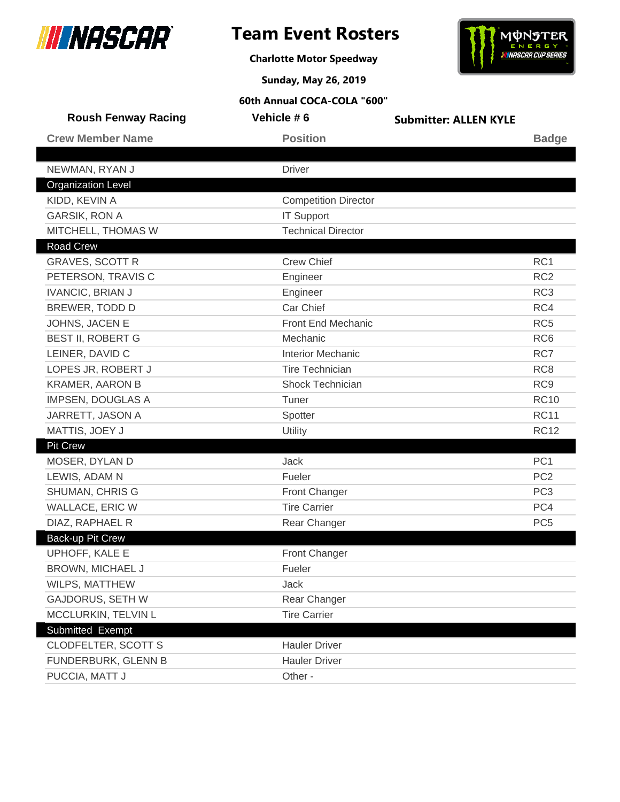

**Charlotte Motor Speedway**



**Sunday, May 26, 2019**

| <b>Roush Fenway Racing</b> | Vehicle #6                  | <b>Submitter: ALLEN KYLE</b> |                 |
|----------------------------|-----------------------------|------------------------------|-----------------|
| <b>Crew Member Name</b>    | <b>Position</b>             |                              | <b>Badge</b>    |
|                            |                             |                              |                 |
| NEWMAN, RYAN J             | <b>Driver</b>               |                              |                 |
| <b>Organization Level</b>  |                             |                              |                 |
| KIDD, KEVIN A              | <b>Competition Director</b> |                              |                 |
| <b>GARSIK, RON A</b>       | <b>IT Support</b>           |                              |                 |
| MITCHELL, THOMAS W         | <b>Technical Director</b>   |                              |                 |
| Road Crew                  |                             |                              |                 |
| <b>GRAVES, SCOTT R</b>     | <b>Crew Chief</b>           |                              | RC1             |
| PETERSON, TRAVIS C         | Engineer                    |                              | RC <sub>2</sub> |
| <b>IVANCIC, BRIAN J</b>    | Engineer                    |                              | RC <sub>3</sub> |
| BREWER, TODD D             | Car Chief                   |                              | RC4             |
| JOHNS, JACEN E             | Front End Mechanic          |                              | RC <sub>5</sub> |
| <b>BEST II, ROBERT G</b>   | Mechanic                    |                              | RC <sub>6</sub> |
| LEINER, DAVID C            | <b>Interior Mechanic</b>    |                              | RC7             |
| LOPES JR, ROBERT J         | <b>Tire Technician</b>      |                              | RC <sub>8</sub> |
| <b>KRAMER, AARON B</b>     | Shock Technician            |                              | RC <sub>9</sub> |
| IMPSEN, DOUGLAS A          | Tuner                       |                              | <b>RC10</b>     |
| JARRETT, JASON A           | Spotter                     |                              | <b>RC11</b>     |
| MATTIS, JOEY J             | Utility                     |                              | <b>RC12</b>     |
| <b>Pit Crew</b>            |                             |                              |                 |
| MOSER, DYLAN D             | <b>Jack</b>                 |                              | PC <sub>1</sub> |
| LEWIS, ADAM N              | Fueler                      |                              | PC <sub>2</sub> |
| <b>SHUMAN, CHRIS G</b>     | <b>Front Changer</b>        |                              | PC <sub>3</sub> |
| <b>WALLACE, ERIC W</b>     | <b>Tire Carrier</b>         |                              | PC4             |
| DIAZ, RAPHAEL R            | Rear Changer                |                              | PC <sub>5</sub> |
| <b>Back-up Pit Crew</b>    |                             |                              |                 |
| UPHOFF, KALE E             | <b>Front Changer</b>        |                              |                 |
| BROWN, MICHAEL J           | Fueler                      |                              |                 |
| WILPS, MATTHEW             | Jack                        |                              |                 |
| <b>GAJDORUS, SETH W</b>    | Rear Changer                |                              |                 |
| MCCLURKIN, TELVIN L        | <b>Tire Carrier</b>         |                              |                 |
| Submitted Exempt           |                             |                              |                 |
| <b>CLODFELTER, SCOTT S</b> | <b>Hauler Driver</b>        |                              |                 |
| FUNDERBURK, GLENN B        | <b>Hauler Driver</b>        |                              |                 |
| PUCCIA, MATT J             | Other -                     |                              |                 |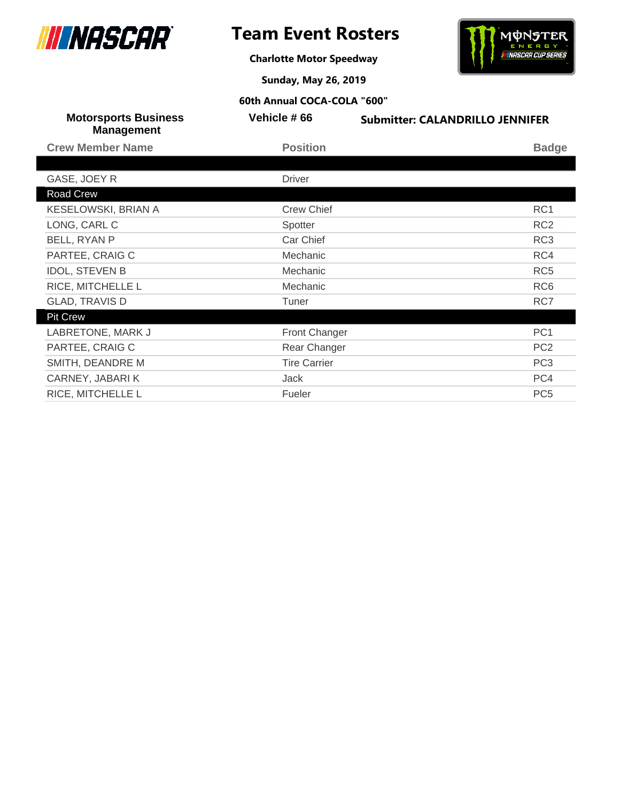

# **Team Event Rosters**

**Charlotte Motor Speedway**



**Sunday, May 26, 2019**

| <b>Motorsports Business</b><br><b>Management</b> | Vehicle #66         | <b>Submitter: CALANDRILLO JENNIFER</b> |
|--------------------------------------------------|---------------------|----------------------------------------|
| <b>Crew Member Name</b>                          | <b>Position</b>     | <b>Badge</b>                           |
|                                                  |                     |                                        |
| GASE, JOEY R                                     | <b>Driver</b>       |                                        |
| Road Crew                                        |                     |                                        |
| KESELOWSKI, BRIAN A                              | <b>Crew Chief</b>   | RC1                                    |
| LONG, CARL C                                     | Spotter             | RC <sub>2</sub>                        |
| BELL, RYAN P                                     | Car Chief           | RC <sub>3</sub>                        |
| PARTEE, CRAIG C                                  | Mechanic            | RC4                                    |
| <b>IDOL, STEVEN B</b>                            | Mechanic            | RC <sub>5</sub>                        |
| RICE, MITCHELLE L                                | Mechanic            | RC <sub>6</sub>                        |
| <b>GLAD, TRAVIS D</b>                            | Tuner               | RC7                                    |
| <b>Pit Crew</b>                                  |                     |                                        |
| LABRETONE, MARK J                                | Front Changer       | PC <sub>1</sub>                        |
| PARTEE, CRAIG C                                  | Rear Changer        | PC <sub>2</sub>                        |
| SMITH, DEANDRE M                                 | <b>Tire Carrier</b> | PC <sub>3</sub>                        |
| CARNEY, JABARIK                                  | Jack                | PC4                                    |
| RICE, MITCHELLE L                                | Fueler              | PC <sub>5</sub>                        |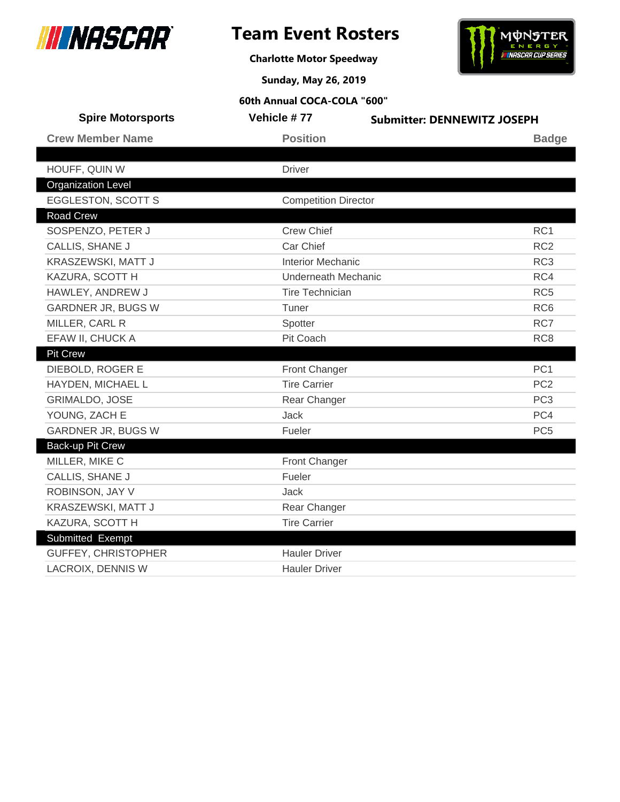



**Charlotte Motor Speedway**

**Sunday, May 26, 2019**

| <b>Spire Motorsports</b>   | Vehicle #77                 | <b>Submitter: DENNEWITZ JOSEPH</b> |  |
|----------------------------|-----------------------------|------------------------------------|--|
| <b>Crew Member Name</b>    | <b>Position</b>             | <b>Badge</b>                       |  |
|                            |                             |                                    |  |
| HOUFF, QUIN W              | <b>Driver</b>               |                                    |  |
| <b>Organization Level</b>  |                             |                                    |  |
| <b>EGGLESTON, SCOTT S</b>  | <b>Competition Director</b> |                                    |  |
| <b>Road Crew</b>           |                             |                                    |  |
| SOSPENZO, PETER J          | <b>Crew Chief</b>           | RC <sub>1</sub>                    |  |
| <b>CALLIS, SHANE J</b>     | Car Chief                   | RC <sub>2</sub>                    |  |
| KRASZEWSKI, MATT J         | <b>Interior Mechanic</b>    | RC <sub>3</sub>                    |  |
| KAZURA, SCOTT H            | <b>Underneath Mechanic</b>  | RC4                                |  |
| HAWLEY, ANDREW J           | <b>Tire Technician</b>      | RC <sub>5</sub>                    |  |
| <b>GARDNER JR, BUGS W</b>  | Tuner                       | RC <sub>6</sub>                    |  |
| MILLER, CARL R             | Spotter                     | RC7                                |  |
| EFAW II, CHUCK A           | Pit Coach                   | RC <sub>8</sub>                    |  |
| <b>Pit Crew</b>            |                             |                                    |  |
| DIEBOLD, ROGER E           | <b>Front Changer</b>        | PC <sub>1</sub>                    |  |
| HAYDEN, MICHAEL L          | <b>Tire Carrier</b>         | PC <sub>2</sub>                    |  |
| <b>GRIMALDO, JOSE</b>      | Rear Changer                | PC <sub>3</sub>                    |  |
| YOUNG, ZACH E              | <b>Jack</b>                 | PC4                                |  |
| GARDNER JR, BUGS W         | Fueler                      | PC <sub>5</sub>                    |  |
| Back-up Pit Crew           |                             |                                    |  |
| MILLER, MIKE C             | Front Changer               |                                    |  |
| CALLIS, SHANE J            | Fueler                      |                                    |  |
| ROBINSON, JAY V            | <b>Jack</b>                 |                                    |  |
| KRASZEWSKI, MATT J         | Rear Changer                |                                    |  |
| KAZURA, SCOTT H            | <b>Tire Carrier</b>         |                                    |  |
| Submitted Exempt           |                             |                                    |  |
| <b>GUFFEY, CHRISTOPHER</b> | <b>Hauler Driver</b>        |                                    |  |
| <b>LACROIX, DENNIS W</b>   | <b>Hauler Driver</b>        |                                    |  |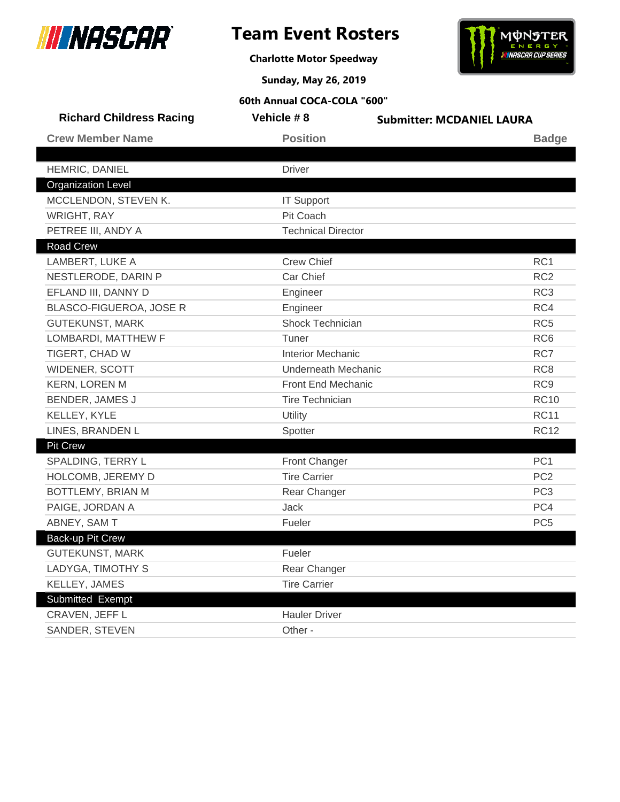

**Charlotte Motor Speedway**



**Sunday, May 26, 2019**

| <b>Richard Childress Racing</b> | Vehicle #8                 | <b>Submitter: MCDANIEL LAURA</b> |
|---------------------------------|----------------------------|----------------------------------|
| <b>Crew Member Name</b>         | <b>Position</b>            | <b>Badge</b>                     |
| HEMRIC, DANIEL                  | <b>Driver</b>              |                                  |
| <b>Organization Level</b>       |                            |                                  |
| MCCLENDON, STEVEN K.            | <b>IT Support</b>          |                                  |
| <b>WRIGHT, RAY</b>              | Pit Coach                  |                                  |
| PETREE III, ANDY A              | <b>Technical Director</b>  |                                  |
| <b>Road Crew</b>                |                            |                                  |
| LAMBERT, LUKE A                 | <b>Crew Chief</b>          | RC <sub>1</sub>                  |
| NESTLERODE, DARIN P             | Car Chief                  | RC <sub>2</sub>                  |
| EFLAND III, DANNY D             | Engineer                   | RC <sub>3</sub>                  |
| BLASCO-FIGUEROA, JOSE R         | Engineer                   | RC4                              |
| <b>GUTEKUNST, MARK</b>          | Shock Technician           | RC <sub>5</sub>                  |
| LOMBARDI, MATTHEW F             | Tuner                      | RC <sub>6</sub>                  |
| TIGERT, CHAD W                  | <b>Interior Mechanic</b>   | RC7                              |
| WIDENER, SCOTT                  | <b>Underneath Mechanic</b> | RC <sub>8</sub>                  |
| <b>KERN, LOREN M</b>            | Front End Mechanic         | RC <sub>9</sub>                  |
| <b>BENDER, JAMES J</b>          | <b>Tire Technician</b>     | <b>RC10</b>                      |
| KELLEY, KYLE                    | Utility                    | <b>RC11</b>                      |
| LINES, BRANDEN L                | Spotter                    | <b>RC12</b>                      |
| <b>Pit Crew</b>                 |                            |                                  |
| SPALDING, TERRY L               | <b>Front Changer</b>       | PC <sub>1</sub>                  |
| HOLCOMB, JEREMY D               | <b>Tire Carrier</b>        | PC <sub>2</sub>                  |
| BOTTLEMY, BRIAN M               | Rear Changer               | PC <sub>3</sub>                  |
| PAIGE, JORDAN A                 | Jack                       | PC4                              |
| ABNEY, SAM T                    | Fueler                     | PC <sub>5</sub>                  |
| Back-up Pit Crew                |                            |                                  |
| <b>GUTEKUNST, MARK</b>          | Fueler                     |                                  |
| LADYGA, TIMOTHY S               | Rear Changer               |                                  |
| KELLEY, JAMES                   | <b>Tire Carrier</b>        |                                  |
| Submitted Exempt                |                            |                                  |
| CRAVEN, JEFF L                  | <b>Hauler Driver</b>       |                                  |
| SANDER, STEVEN                  | Other -                    |                                  |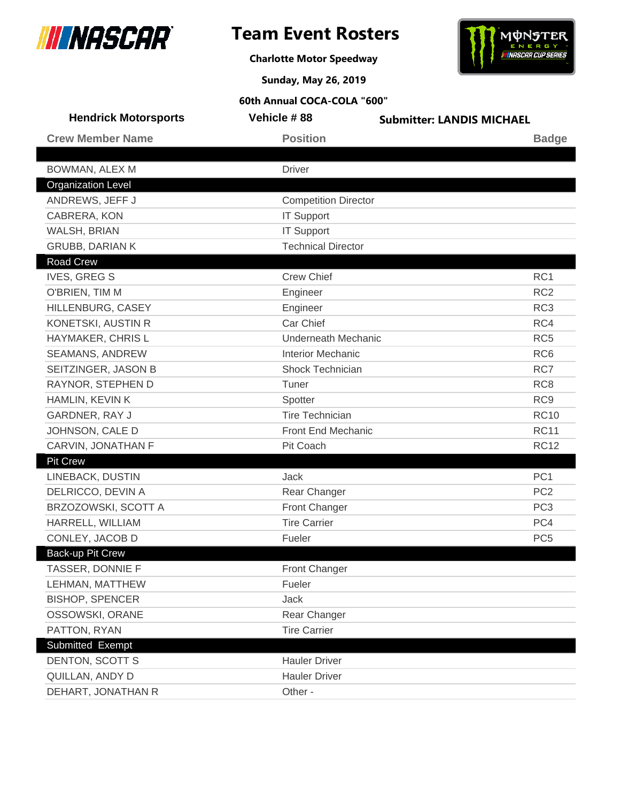





**Sunday, May 26, 2019**

| <b>Hendrick Motorsports</b> | Vehicle #88                 | <b>Submitter: LANDIS MICHAEL</b> |
|-----------------------------|-----------------------------|----------------------------------|
| <b>Crew Member Name</b>     | <b>Position</b>             | <b>Badge</b>                     |
|                             |                             |                                  |
| BOWMAN, ALEX M              | <b>Driver</b>               |                                  |
| <b>Organization Level</b>   |                             |                                  |
| ANDREWS, JEFF J             | <b>Competition Director</b> |                                  |
| CABRERA, KON                | <b>IT Support</b>           |                                  |
| WALSH, BRIAN                | <b>IT Support</b>           |                                  |
| <b>GRUBB, DARIAN K</b>      | <b>Technical Director</b>   |                                  |
| Road Crew                   |                             |                                  |
| <b>IVES, GREG S</b>         | <b>Crew Chief</b>           | RC1                              |
| O'BRIEN, TIM M              | Engineer                    | RC <sub>2</sub>                  |
| HILLENBURG, CASEY           | Engineer                    | RC <sub>3</sub>                  |
| KONETSKI, AUSTIN R          | Car Chief                   | RC4                              |
| HAYMAKER, CHRIS L           | <b>Underneath Mechanic</b>  | RC <sub>5</sub>                  |
| <b>SEAMANS, ANDREW</b>      | <b>Interior Mechanic</b>    | RC <sub>6</sub>                  |
| SEITZINGER, JASON B         | Shock Technician            | RC7                              |
| RAYNOR, STEPHEN D           | Tuner                       | RC <sub>8</sub>                  |
| HAMLIN, KEVIN K             | Spotter                     | RC <sub>9</sub>                  |
| GARDNER, RAY J              | <b>Tire Technician</b>      | <b>RC10</b>                      |
| JOHNSON, CALE D             | Front End Mechanic          | <b>RC11</b>                      |
| CARVIN, JONATHAN F          | Pit Coach                   | <b>RC12</b>                      |
| <b>Pit Crew</b>             |                             |                                  |
| LINEBACK, DUSTIN            | Jack                        | PC <sub>1</sub>                  |
| DELRICCO, DEVIN A           | Rear Changer                | PC <sub>2</sub>                  |
| BRZOZOWSKI, SCOTT A         | <b>Front Changer</b>        | PC <sub>3</sub>                  |
| HARRELL, WILLIAM            | <b>Tire Carrier</b>         | PC4                              |
| CONLEY, JACOB D             | Fueler                      | PC <sub>5</sub>                  |
| Back-up Pit Crew            |                             |                                  |
| TASSER, DONNIE F            | Front Changer               |                                  |
| LEHMAN, MATTHEW             | Fueler                      |                                  |
| <b>BISHOP, SPENCER</b>      | Jack                        |                                  |
| OSSOWSKI, ORANE             | Rear Changer                |                                  |
| PATTON, RYAN                | <b>Tire Carrier</b>         |                                  |
| Submitted Exempt            |                             |                                  |
| DENTON, SCOTT S             | <b>Hauler Driver</b>        |                                  |
| QUILLAN, ANDY D             | <b>Hauler Driver</b>        |                                  |
| DEHART, JONATHAN R          | Other -                     |                                  |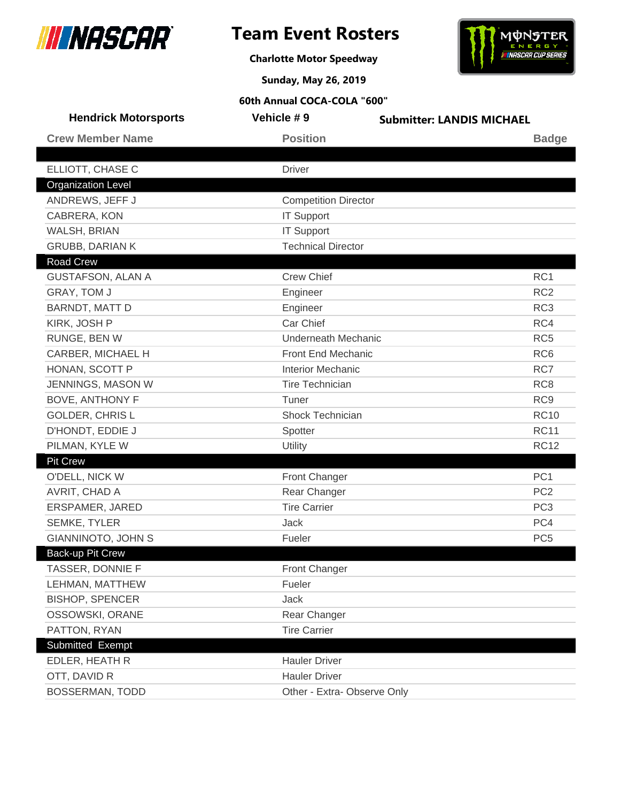





**Sunday, May 26, 2019**

| <b>Hendrick Motorsports</b> | Vehicle #9                  | <b>Submitter: LANDIS MICHAEL</b> |
|-----------------------------|-----------------------------|----------------------------------|
| <b>Crew Member Name</b>     | <b>Position</b>             | <b>Badge</b>                     |
|                             |                             |                                  |
| ELLIOTT, CHASE C            | <b>Driver</b>               |                                  |
| <b>Organization Level</b>   |                             |                                  |
| ANDREWS, JEFF J             | <b>Competition Director</b> |                                  |
| CABRERA, KON                | <b>IT Support</b>           |                                  |
| WALSH, BRIAN                | <b>IT Support</b>           |                                  |
| <b>GRUBB, DARIAN K</b>      | <b>Technical Director</b>   |                                  |
| Road Crew                   |                             |                                  |
| <b>GUSTAFSON, ALAN A</b>    | <b>Crew Chief</b>           | RC1                              |
| GRAY, TOM J                 | Engineer                    | RC <sub>2</sub>                  |
| BARNDT, MATT D              | Engineer                    | RC <sub>3</sub>                  |
| KIRK, JOSH P                | Car Chief                   | RC4                              |
| RUNGE, BEN W                | <b>Underneath Mechanic</b>  | RC <sub>5</sub>                  |
| CARBER, MICHAEL H           | Front End Mechanic          | RC <sub>6</sub>                  |
| HONAN, SCOTT P              | <b>Interior Mechanic</b>    | RC7                              |
| JENNINGS, MASON W           | <b>Tire Technician</b>      | RC <sub>8</sub>                  |
| <b>BOVE, ANTHONY F</b>      | Tuner                       | RC <sub>9</sub>                  |
| <b>GOLDER, CHRISL</b>       | Shock Technician            | <b>RC10</b>                      |
| D'HONDT, EDDIE J            | Spotter                     | <b>RC11</b>                      |
| PILMAN, KYLE W              | Utility                     | <b>RC12</b>                      |
| <b>Pit Crew</b>             |                             |                                  |
| O'DELL, NICK W              | Front Changer               | PC <sub>1</sub>                  |
| AVRIT, CHAD A               | Rear Changer                | PC <sub>2</sub>                  |
| ERSPAMER, JARED             | <b>Tire Carrier</b>         | PC <sub>3</sub>                  |
| SEMKE, TYLER                | Jack                        | PC4                              |
| <b>GIANNINOTO, JOHN S</b>   | Fueler                      | PC <sub>5</sub>                  |
| Back-up Pit Crew            |                             |                                  |
| TASSER, DONNIE F            | <b>Front Changer</b>        |                                  |
| LEHMAN, MATTHEW             | Fueler                      |                                  |
| <b>BISHOP, SPENCER</b>      | Jack                        |                                  |
| OSSOWSKI, ORANE             | Rear Changer                |                                  |
| PATTON, RYAN                | <b>Tire Carrier</b>         |                                  |
| Submitted Exempt            |                             |                                  |
| EDLER, HEATH R              | <b>Hauler Driver</b>        |                                  |
| OTT, DAVID R                | <b>Hauler Driver</b>        |                                  |
| <b>BOSSERMAN, TODD</b>      | Other - Extra- Observe Only |                                  |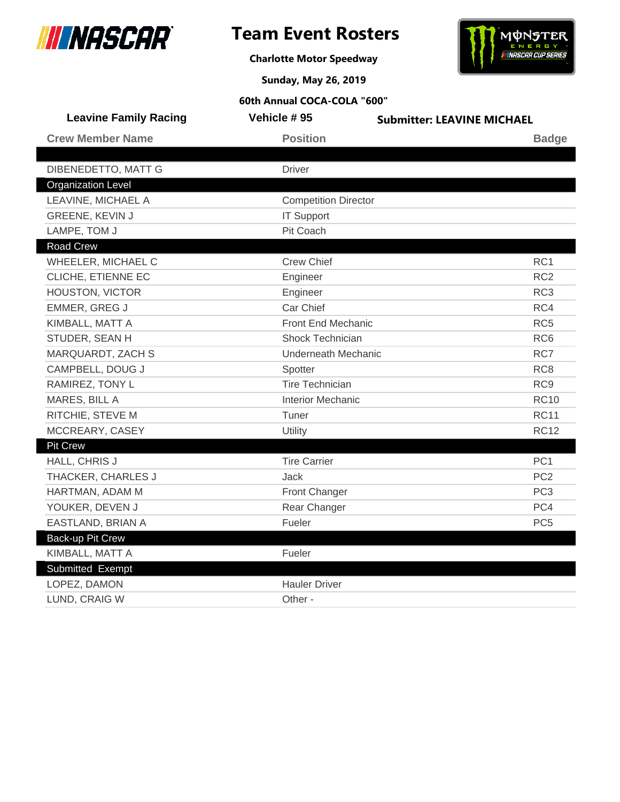

# **Team Event Rosters**

**Charlotte Motor Speedway**



**Sunday, May 26, 2019**

| <b>Leavine Family Racing</b> | Vehicle #95                 | <b>Submitter: LEAVINE MICHAEL</b> |
|------------------------------|-----------------------------|-----------------------------------|
| <b>Crew Member Name</b>      | <b>Position</b>             | <b>Badge</b>                      |
|                              |                             |                                   |
| DIBENEDETTO, MATT G          | <b>Driver</b>               |                                   |
| <b>Organization Level</b>    |                             |                                   |
| LEAVINE, MICHAEL A           | <b>Competition Director</b> |                                   |
| GREENE, KEVIN J              | <b>IT Support</b>           |                                   |
| LAMPE, TOM J                 | Pit Coach                   |                                   |
| <b>Road Crew</b>             |                             |                                   |
| WHEELER, MICHAEL C           | <b>Crew Chief</b>           | RC <sub>1</sub>                   |
| CLICHE, ETIENNE EC           | Engineer                    | RC <sub>2</sub>                   |
| HOUSTON, VICTOR              | Engineer                    | RC <sub>3</sub>                   |
| EMMER, GREG J                | Car Chief                   | RC4                               |
| KIMBALL, MATT A              | Front End Mechanic          | RC <sub>5</sub>                   |
| STUDER, SEAN H               | <b>Shock Technician</b>     | RC <sub>6</sub>                   |
| MARQUARDT, ZACH S            | <b>Underneath Mechanic</b>  | RC7                               |
| CAMPBELL, DOUG J             | Spotter                     | RC <sub>8</sub>                   |
| RAMIREZ, TONY L              | <b>Tire Technician</b>      | RC <sub>9</sub>                   |
| MARES, BILL A                | <b>Interior Mechanic</b>    | <b>RC10</b>                       |
| RITCHIE, STEVE M             | Tuner                       | <b>RC11</b>                       |
| MCCREARY, CASEY              | Utility                     | <b>RC12</b>                       |
| <b>Pit Crew</b>              |                             |                                   |
| HALL, CHRIS J                | <b>Tire Carrier</b>         | PC <sub>1</sub>                   |
| THACKER, CHARLES J           | <b>Jack</b>                 | PC <sub>2</sub>                   |
| HARTMAN, ADAM M              | Front Changer               | PC <sub>3</sub>                   |
| YOUKER, DEVEN J              | Rear Changer                | PC4                               |
| EASTLAND, BRIAN A            | Fueler                      | PC <sub>5</sub>                   |
| <b>Back-up Pit Crew</b>      |                             |                                   |
| KIMBALL, MATT A              | Fueler                      |                                   |
| Submitted Exempt             |                             |                                   |
| LOPEZ, DAMON                 | <b>Hauler Driver</b>        |                                   |
| LUND, CRAIG W                | Other -                     |                                   |